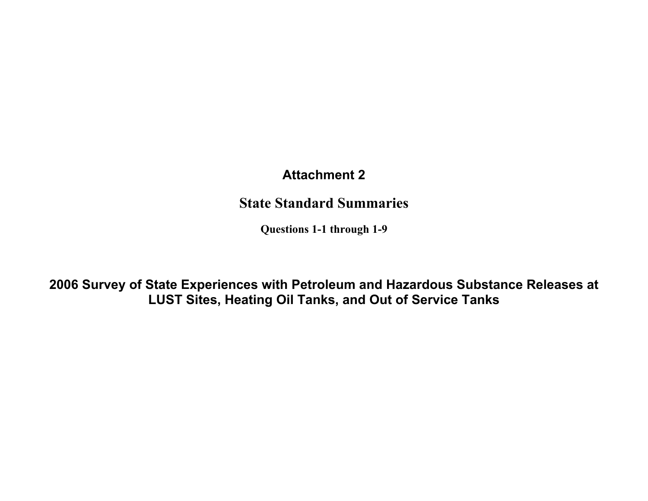# **Attachment 2**

# State Standard Summaries

Questions 1-1 through 1-9

**2006 Survey of State Experiences with Petroleum and Hazardous Substance Releases at LUST Sites, Heating Oil Tanks, and Out of Service Tanks**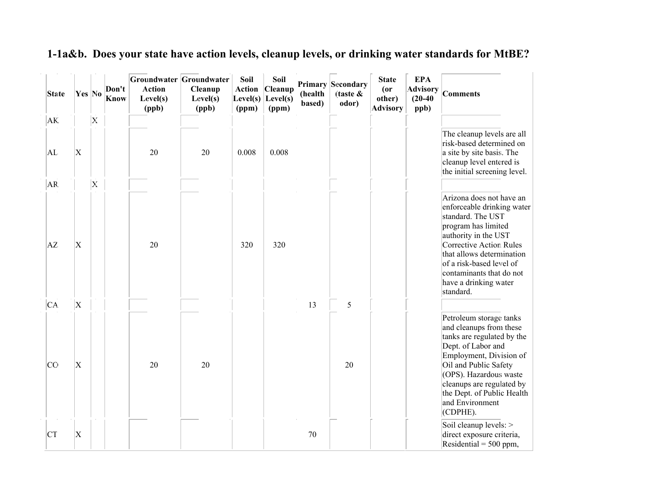| 1-1a&b. Does your state have action levels, cleanup levels, or drinking water standards for MtBE? |  |  |
|---------------------------------------------------------------------------------------------------|--|--|
|                                                                                                   |  |  |

| <b>State</b> | Yes No                    |                         | Don't<br><b>Know</b> | Groundwater Groundwater<br><b>Action</b><br>Level(s)<br>(ppb) | Cleanup<br>Level(s)<br>(ppb) | Soil<br>(ppm) | Soil<br><b>Action Cleanup</b><br>Level(s) $Level(s)$<br>(ppm) | (health<br>based) | <b>Primary Secondary</b><br>$\int$ (taste $\&$<br>odor) | <b>State</b><br>(0r)<br>other)<br><b>Advisory</b> | <b>EPA</b><br><b>Advisory</b><br>$(20-40)$<br>ppb) | <b>Comments</b>                                                                                                                                                                                                                                                                  |
|--------------|---------------------------|-------------------------|----------------------|---------------------------------------------------------------|------------------------------|---------------|---------------------------------------------------------------|-------------------|---------------------------------------------------------|---------------------------------------------------|----------------------------------------------------|----------------------------------------------------------------------------------------------------------------------------------------------------------------------------------------------------------------------------------------------------------------------------------|
| AK.          |                           | $\overline{\mathbf{x}}$ |                      |                                                               |                              |               |                                                               |                   |                                                         |                                                   |                                                    |                                                                                                                                                                                                                                                                                  |
| AL           | $\boldsymbol{\mathrm{X}}$ |                         |                      | 20                                                            | 20                           | 0.008         | 0.008                                                         |                   |                                                         |                                                   |                                                    | The cleanup levels are all<br>risk-based determined on<br>a site by site basis. The<br>cleanup level entered is<br>the initial screening level.                                                                                                                                  |
| AR.<br>AZ    | $\boldsymbol{\mathrm{X}}$ | $\overline{\mathbf{X}}$ |                      | 20                                                            |                              | 320           | 320                                                           |                   |                                                         |                                                   |                                                    | Arizona does not have an<br>enforceable drinking water<br>standard. The UST<br>program has limited<br>authority in the UST<br>Corrective Action Rules<br>that allows determination<br>of a risk-based level of<br>contaminants that do not<br>have a drinking water<br>standard. |
| CA.          | $\vert$ X                 |                         |                      |                                                               |                              |               |                                                               | 13                | 5                                                       |                                                   |                                                    |                                                                                                                                                                                                                                                                                  |
| <b>CC</b>    | $\boldsymbol{\mathrm{X}}$ |                         |                      | 20                                                            | 20                           |               |                                                               |                   | 20                                                      |                                                   |                                                    | Petroleum storage tanks<br>and cleanups from these<br>tanks are regulated by the<br>Dept. of Labor and<br>Employment, Division of<br>Oil and Public Safety<br>(OPS). Hazardous waste<br>cleanups are regulated by<br>the Dept. of Public Health<br>and Environment<br>(CDPHE).   |
| <b>CT</b>    | $\vert \mathrm{X} \vert$  |                         |                      |                                                               |                              |               |                                                               | 70                |                                                         |                                                   |                                                    | Soil cleanup levels: ><br>direct exposure criteria,<br>Residential = $500$ ppm,                                                                                                                                                                                                  |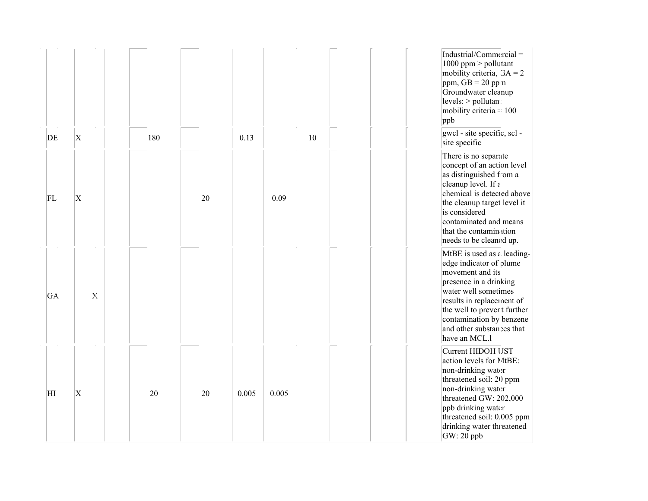| DE  | $\mathbf x$ |   | 180 |    | 0.13  |       | 10 | Industrial/Commercial =<br>1000 ppm $>$ pollutant<br>mobility criteria, $GA = 2$<br>ppm, $GB = 20$ ppm<br>Groundwater cleanup<br>levels: > pollutant:<br>mobility criteria = $100$<br>$ $ ppb<br>gwel - site specific, sel -<br>site specific                     |
|-----|-------------|---|-----|----|-------|-------|----|-------------------------------------------------------------------------------------------------------------------------------------------------------------------------------------------------------------------------------------------------------------------|
| FL  | $\mathbf x$ |   |     | 20 |       | 0.09  |    | There is no separate<br>concept of an action level<br>as distinguished from a<br>cleanup level. If a<br>chemical is detected above<br>the cleanup target level it<br>is considered<br>contaminated and means<br>that the contamination<br>needs to be cleaned up. |
| GA. |             | X |     |    |       |       |    | MtBE is used as a leading-<br>edge indicator of plume<br>movement and its<br>presence in a drinking<br>water well sometimes<br>results in replacement of<br>the well to prevent further<br>contamination by benzene<br>and other substances that<br>have an MCL.1 |
| ΗI  | $\mathbf X$ |   | 20  | 20 | 0.005 | 0.005 |    | Current HIDOH UST<br>action levels for MtBE:<br>non-drinking water<br>threatened soil: 20 ppm<br>non-drinking water<br>threatened GW: 202,000<br>ppb drinking water<br>threatened soil: 0.005 ppm<br>drinking water threatened<br>$GW: 20$ ppb                    |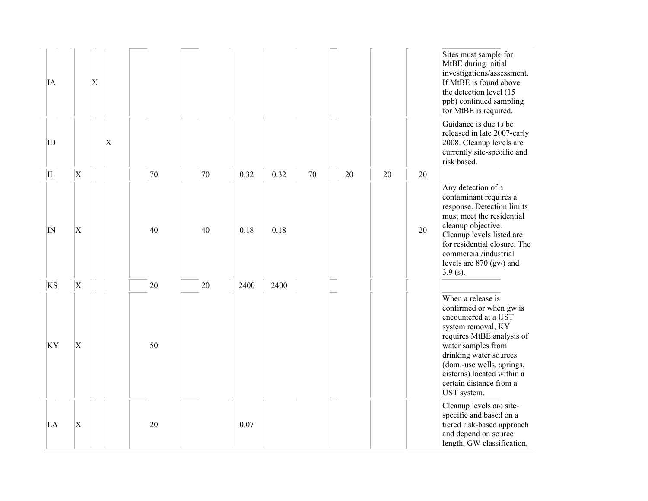| ĪА                   |                                        | $\mathbf{X}$ |                           |          |              |              |              |    |    |    |          | Sites must sample for<br>MtBE during initial<br>investigations/assessment.<br>If MtBE is found above<br>the detection level (15<br>ppb) continued sampling<br>for MtBE is required.                                                                                          |
|----------------------|----------------------------------------|--------------|---------------------------|----------|--------------|--------------|--------------|----|----|----|----------|------------------------------------------------------------------------------------------------------------------------------------------------------------------------------------------------------------------------------------------------------------------------------|
| ID                   |                                        |              | $\boldsymbol{\mathrm{X}}$ |          |              |              |              |    |    |    |          | Guidance is due to be<br>released in late 2007-early<br>2008. Cleanup levels are<br>currently site-specific and<br>risk based.                                                                                                                                               |
| IL<br>$ {}_{\rm IN}$ | $\overline{\mathrm{X}}$<br>$\mathbf X$ |              |                           | 70<br>40 | $70\,$<br>40 | 0.32<br>0.18 | 0.32<br>0.18 | 70 | 20 | 20 | 20<br>20 | Any detection of a<br>contaminant requires a<br>response. Detection limits<br>must meet the residential<br>cleanup objective.<br>Cleanup levels listed are<br>for residential closure. The<br>commercial/industrial<br>levels are 870 (gw) and<br>$3.9$ (s).                 |
| <b>KS</b><br>KY      | $\overline{\mathrm{X}}$<br>$\mathbf x$ |              |                           | 20<br>50 | 20           | 2400         | 2400         |    |    |    |          | When a release is<br>confirmed or when gw is<br>encountered at a UST<br>system removal, KY<br>requires MtBE analysis of<br>water samples from<br>drinking water sources<br>(dom.-use wells, springs,<br>cisterns) located within a<br>certain distance from a<br>UST system. |
| LA                   | $\vert \mathrm{X} \vert$               |              |                           | 20       |              | 0.07         |              |    |    |    |          | Cleanup levels are site-<br>specific and based on a<br>tiered risk-based approach<br>and depend on source<br>length, GW classification,                                                                                                                                      |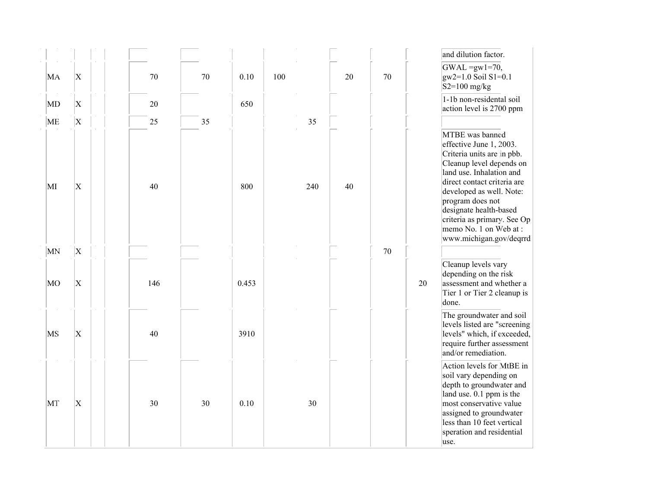| MA                       | $\vert \mathrm{X} \vert$  | $70\,$ | 70 | 0.10  | 100 |     | 20 | 70 |    | and dilution factor.<br>$GWAL = gW1 = 70$ ,<br>gw2=1.0 Soil S1=0.1<br>$S2=100$ mg/kg                                                                                                                                                                                                                                         |
|--------------------------|---------------------------|--------|----|-------|-----|-----|----|----|----|------------------------------------------------------------------------------------------------------------------------------------------------------------------------------------------------------------------------------------------------------------------------------------------------------------------------------|
| $\overline{\mathrm{MD}}$ | $\boldsymbol{\mathrm{X}}$ | 20     |    | 650   |     |     |    |    |    | 1-1b non-residental soil<br>action level is 2700 ppm                                                                                                                                                                                                                                                                         |
| ME                       | $\boldsymbol{\mathrm{X}}$ | 25     | 35 |       |     | 35  |    |    |    |                                                                                                                                                                                                                                                                                                                              |
| MI                       | $\vert \mathrm{X} \vert$  | 40     |    | 800   |     | 240 | 40 |    |    | MTBE was banned<br>effective June 1, 2003.<br>Criteria units are in pbb.<br>Cleanup level depends on<br>land use. Inhalation and<br>direct contact criteria are<br>developed as well. Note:<br>program does not<br>designate health-based<br>criteria as primary. See Op<br>memo No. 1 on Web at:<br>www.michigan.gov/deqrrd |
| MN                       | X                         |        |    |       |     |     |    | 70 |    |                                                                                                                                                                                                                                                                                                                              |
| MO                       | $\vert$ X                 | 146    |    | 0.453 |     |     |    |    | 20 | Cleanup levels vary<br>depending on the risk<br>assessment and whether a<br>Tier 1 or Tier 2 cleanup is<br>done.                                                                                                                                                                                                             |
| MS                       | $\mathbf x$               | 40     |    | 3910  |     |     |    |    |    | The groundwater and soil<br>levels listed are "screening<br>levels" which, if exceeded,<br>require further assessment<br>and/or remediation.                                                                                                                                                                                 |
| MT                       | $\vert \mathrm{X} \vert$  | 30     | 30 | 0.10  |     | 30  |    |    |    | Action levels for MtBE in<br>soil vary depending on<br>depth to groundwater and<br>land use. $0.1$ ppm is the<br>most conservative value<br>assigned to groundwater<br>less than 10 feet vertical<br>speration and residential<br>use.                                                                                       |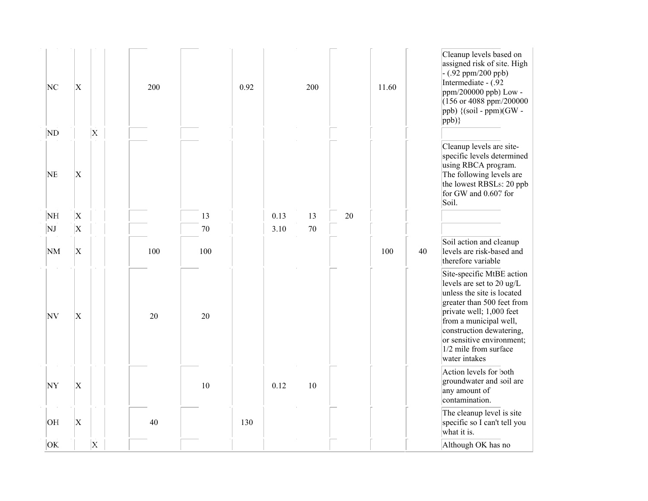| NC<br>$\overline{\rm ND}$ | $\mathbf X$               | $\mathbf{X}$ | 200 |     | 0.92 |      | 200 |    | 11.60 |    | Cleanup levels based on<br>assigned risk of site. High<br>$- (.92 ppm/200 ppb)$<br>Intermediate - (.92<br>$ppm/200000$ ppb) Low -<br>$(156 \text{ or } 4088 \text{ ppm}/200000$<br>$\vert$ ppb) {(soil - ppm)(GW -<br>$ ppb)\}$                                             |
|---------------------------|---------------------------|--------------|-----|-----|------|------|-----|----|-------|----|-----------------------------------------------------------------------------------------------------------------------------------------------------------------------------------------------------------------------------------------------------------------------------|
| <b>NE</b>                 | $\boldsymbol{\mathrm{X}}$ |              |     |     |      |      |     |    |       |    | Cleanup levels are site-<br>specific levels determined<br>using RBCA program.<br>The following levels are<br>the lowest RBSLs: 20 ppb<br>for GW and 0.607 for<br>Soil.                                                                                                      |
| NH                        | $\boldsymbol{\mathrm{X}}$ |              |     | 13  |      | 0.13 | 13  | 20 |       |    |                                                                                                                                                                                                                                                                             |
| NJ                        | $\overline{\mathrm{X}}$   |              |     | 70  |      | 3.10 | 70  |    |       |    |                                                                                                                                                                                                                                                                             |
| NM                        | $\vert \mathrm{X} \vert$  |              | 100 | 100 |      |      |     |    | 100   | 40 | Soil action and cleanup<br>levels are risk-based and<br>therefore variable                                                                                                                                                                                                  |
| NV                        | $\overline{\mathrm{X}}$   |              | 20  | 20  |      |      |     |    |       |    | Site-specific MtBE action<br>levels are set to 20 ug/L<br>unless the site is located<br>greater than 500 feet from<br>private well; 1,000 feet<br>from a municipal well,<br>construction dewatering,<br>or sensitive environment;<br>1/2 mile from surface<br>water intakes |
| NY                        | $\vert \mathrm{X} \vert$  |              |     | 10  |      | 0.12 | 10  |    |       |    | Action levels for both<br>groundwater and soil are<br>any amount of<br>contamination.                                                                                                                                                                                       |
| OH                        | $\vert \mathrm{X} \vert$  |              | 40  |     | 130  |      |     |    |       |    | The cleanup level is site<br>specific so I can't tell you<br>what it is.                                                                                                                                                                                                    |
| OK.                       |                           | $\mathbf{X}$ |     |     |      |      |     |    |       |    | Although OK has no                                                                                                                                                                                                                                                          |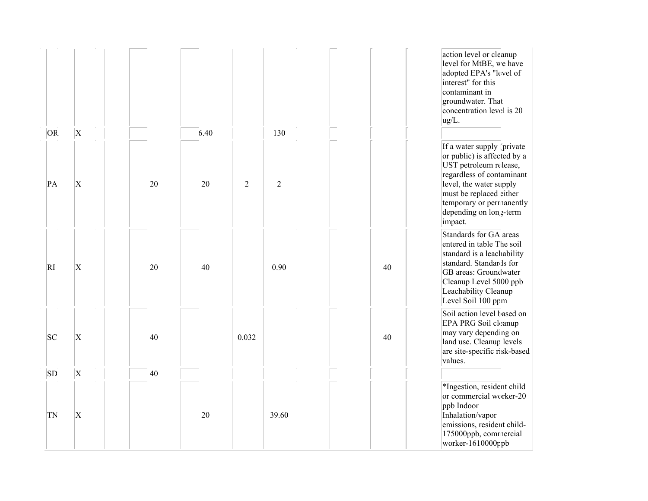|           |                           |    |      |                |            |    | action level or cleanup<br>level for MtBE, we have<br>adopted EPA's "level of<br>interest" for this<br>contaminant in<br>groundwater. That<br>concentration level is 20<br>ug/L.                                                        |
|-----------|---------------------------|----|------|----------------|------------|----|-----------------------------------------------------------------------------------------------------------------------------------------------------------------------------------------------------------------------------------------|
| OR.       | $\boldsymbol{\mathrm{X}}$ |    | 6.40 |                | 130        |    |                                                                                                                                                                                                                                         |
| PA        | $\overline{\mathrm{X}}$   | 20 | 20   | $\overline{2}$ | $\sqrt{2}$ |    | If a water supply (private<br>or public) is affected by a<br>UST petroleum release,<br>regardless of contaminant<br>level, the water supply<br>must be replaced either<br>temporary or permanently<br>depending on long-term<br>impact. |
| RI        | $\boldsymbol{\mathrm{X}}$ | 20 | 40   |                | 0.90       | 40 | Standards for GA areas<br>entered in table The soil<br>standard is a leachability<br>standard. Standards for<br>GB areas: Groundwater<br>Cleanup Level 5000 ppb<br>Leachability Cleanup<br>Level Soil 100 ppm                           |
| SC        | X                         | 40 |      | 0.032          |            | 40 | Soil action level based on<br>EPA PRG Soil cleanup<br>may vary depending on<br>land use. Cleanup levels<br>are site-specific risk-based<br>values.                                                                                      |
| <b>SD</b> | $\boldsymbol{\mathrm{X}}$ | 40 |      |                |            |    | *Ingestion, resident child                                                                                                                                                                                                              |
| TN        | $\boldsymbol{\mathrm{X}}$ |    | 20   |                | 39.60      |    | or commercial worker-20<br>ppb Indoor<br>Inhalation/vapor<br>emissions, resident child-<br>175000ppb, commercial<br>worker-1610000ppb                                                                                                   |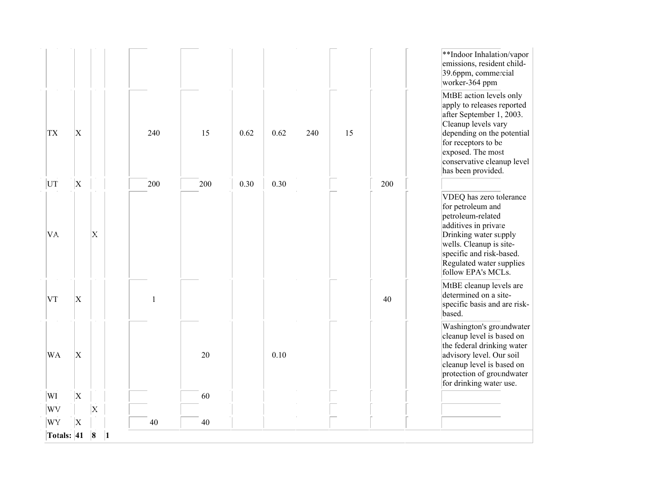| WY<br>Totals: 41 | $\vert$ X   | 8<br>$\vert$ 1     | 40           | 40  |      |      |     |    |     |                                                                                                                                                                                                                             |
|------------------|-------------|--------------------|--------------|-----|------|------|-----|----|-----|-----------------------------------------------------------------------------------------------------------------------------------------------------------------------------------------------------------------------------|
| WV               |             | $\mathbf{x}$       |              |     |      |      |     |    |     |                                                                                                                                                                                                                             |
| WI               | $\vert$ X   |                    |              | 60  |      |      |     |    |     |                                                                                                                                                                                                                             |
| WA               | $\vert$ X   |                    |              | 20  |      | 0.10 |     |    |     | Washington's groundwater<br>cleanup level is based on<br>the federal drinking water<br>advisory level. Our soil<br>cleanup level is based on<br>protection of groundwater<br>for drinking water use.                        |
| VT               | X           |                    | $\mathbf{1}$ |     |      |      |     |    | 40  | MtBE cleanup levels are<br>determined on a site-<br>specific basis and are risk-<br>based.                                                                                                                                  |
| VA.              |             | $\mathbf{X}% _{0}$ |              |     |      |      |     |    |     | VDEQ has zero tolerance<br>for petroleum and<br>petroleum-related<br>additives in private<br>Drinking water supply<br>wells. Cleanup is site-<br>specific and risk-based.<br>Regulated water supplies<br>follow EPA's MCLs. |
| UT               | $\vert$ X   |                    | 200          | 200 | 0.30 | 0.30 |     |    | 200 | has been provided.                                                                                                                                                                                                          |
| <b>TX</b>        | $\mathbf X$ |                    | 240          | 15  | 0.62 | 0.62 | 240 | 15 |     | MtBE action levels only<br>apply to releases reported<br>after September 1, 2003.<br>Cleanup levels vary<br>depending on the potential<br>for receptors to be<br>exposed. The most<br>conservative cleanup level            |
|                  |             |                    |              |     |      |      |     |    |     | **Indoor Inhalation/vapor<br>emissions, resident child-<br>39.6ppm, commercial<br>worker-364 ppm                                                                                                                            |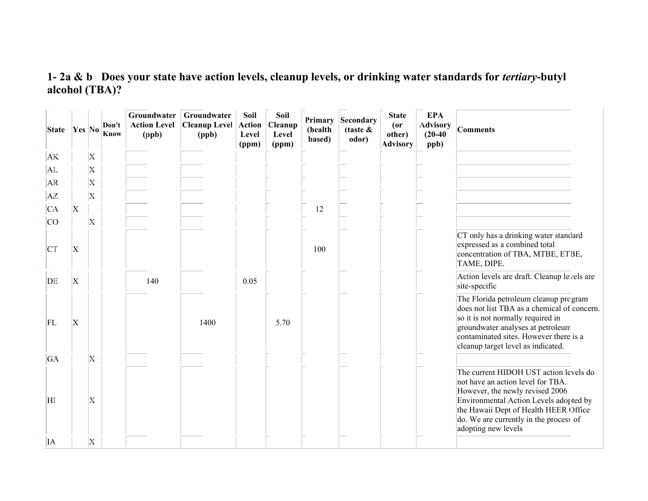### 1- 2a & b Does your state have action levels, cleanup levels, or drinking water standards for *tertiary*-butyl alcohol (TBA)?

| State     |                           |   | Don't<br>$\left \gamma_{es}\right $ No $\left \frac{\text{Dom }\tau}{\text{Know}}\right $ | Groundwater<br><b>Action Level</b><br>(ppb) | Groundwater<br><b>Cleanup Level</b><br>(ppb) | Soil<br><b>Action</b><br>Level<br>(ppm) | Soil<br>Cleanup<br>Level<br>(ppm) | Primary<br>(health<br>based) | <b>Secondary</b><br>(taste $\&$<br>odor) | <b>State</b><br>$($ or<br>other)<br><b>Advisory</b> | <b>EPA</b><br><b>Advisory</b><br>$(20-40)$<br>ppb) | <b>Comments</b>                                                                                                                                                                                                                                                    |
|-----------|---------------------------|---|-------------------------------------------------------------------------------------------|---------------------------------------------|----------------------------------------------|-----------------------------------------|-----------------------------------|------------------------------|------------------------------------------|-----------------------------------------------------|----------------------------------------------------|--------------------------------------------------------------------------------------------------------------------------------------------------------------------------------------------------------------------------------------------------------------------|
| AK        |                           | X |                                                                                           |                                             |                                              |                                         |                                   |                              |                                          |                                                     |                                                    |                                                                                                                                                                                                                                                                    |
| AL        |                           | X |                                                                                           |                                             |                                              |                                         |                                   |                              |                                          |                                                     |                                                    |                                                                                                                                                                                                                                                                    |
| AR        |                           | X |                                                                                           |                                             |                                              |                                         |                                   |                              |                                          |                                                     |                                                    |                                                                                                                                                                                                                                                                    |
| ΑZ        |                           | Х |                                                                                           |                                             |                                              |                                         |                                   |                              |                                          |                                                     |                                                    |                                                                                                                                                                                                                                                                    |
| CA        | X                         |   |                                                                                           |                                             |                                              |                                         |                                   | 12                           |                                          |                                                     |                                                    |                                                                                                                                                                                                                                                                    |
| <b>CO</b> |                           | X |                                                                                           |                                             |                                              |                                         |                                   |                              |                                          |                                                     |                                                    |                                                                                                                                                                                                                                                                    |
| CT        | X                         |   |                                                                                           |                                             |                                              |                                         |                                   | 100                          |                                          |                                                     |                                                    | CT only has a drinking water standard<br>expressed as a combined total<br>concentration of TBA, MTBE, ETBE,<br>TAME, DIPE.                                                                                                                                         |
| DE        | X                         |   |                                                                                           | 140                                         |                                              | 0.05                                    |                                   |                              |                                          |                                                     |                                                    | Action levels are draft. Cleanup levels are<br>site-specific                                                                                                                                                                                                       |
| FL        | $\boldsymbol{\mathrm{X}}$ |   |                                                                                           |                                             | 1400                                         |                                         | 5.70                              |                              |                                          |                                                     |                                                    | The Florida petroleum cleanup program<br>does not list TBA as a chemical of concern.<br>so it is not normally required in<br>groundwater analyses at petroleum.<br>contaminated sites. However there is a<br>cleanup target level as indicated.                    |
| GA        |                           | X |                                                                                           |                                             |                                              |                                         |                                   |                              |                                          |                                                     |                                                    |                                                                                                                                                                                                                                                                    |
| HI.       |                           | X |                                                                                           |                                             |                                              |                                         |                                   |                              |                                          |                                                     |                                                    | The current HIDOH UST action levels do<br>not have an action level for TBA.<br>However, the newly revised 2006<br>Environmental Action Levels adopted by<br>the Hawaii Dept of Health HEER Office<br>do. We are currently in the process of<br>adopting new levels |
| IA.       |                           | X |                                                                                           |                                             |                                              |                                         |                                   |                              |                                          |                                                     |                                                    |                                                                                                                                                                                                                                                                    |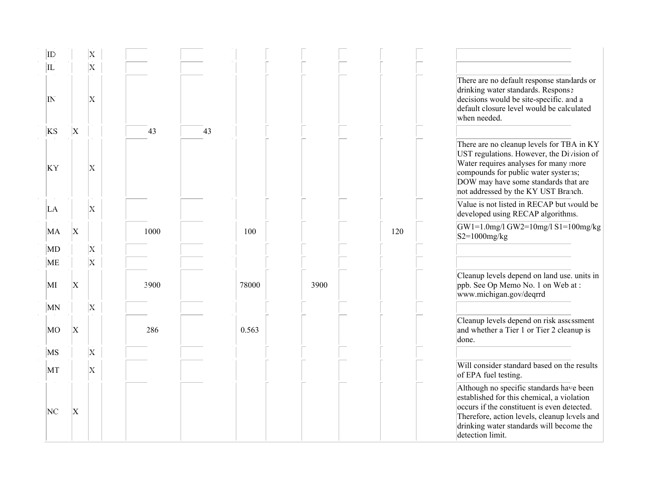| $ {\rm ID}\>$         |           | Х                       |      |    |       |      |     |                                                                                                                                                                                                                                                       |
|-----------------------|-----------|-------------------------|------|----|-------|------|-----|-------------------------------------------------------------------------------------------------------------------------------------------------------------------------------------------------------------------------------------------------------|
| IL                    |           | $\overline{\mathbf{x}}$ |      |    |       |      |     |                                                                                                                                                                                                                                                       |
| $ {\rm I}\!\!{\rm N}$ |           | Х                       |      |    |       |      |     | There are no default response standards or<br>drinking water standards. Response<br>decisions would be site-specific. and a<br>default closure level would be calculated<br>when needed.                                                              |
| <b>KS</b>             | $\vert$ X |                         | 43   | 43 |       |      |     |                                                                                                                                                                                                                                                       |
| KY                    |           | X                       |      |    |       |      |     | There are no cleanup levels for TBA in KY<br>UST regulations. However, the Division of<br>Water requires analyses for many more<br>compounds for public water systems;<br>DOW may have some standards that are<br>not addressed by the KY UST Branch. |
| LA                    |           | X                       |      |    |       |      |     | Value is not listed in RECAP but would be<br>developed using RECAP algorithms.                                                                                                                                                                        |
| MA                    | X         |                         | 1000 |    | 100   |      | 120 | GW1=1.0mg/l GW2=10mg/l S1=100mg/kg<br>$ S2=1000mg/kg$                                                                                                                                                                                                 |
| MD                    |           | $\overline{\mathrm{X}}$ |      |    |       |      |     |                                                                                                                                                                                                                                                       |
| ME                    |           | $\rm X$                 |      |    |       |      |     |                                                                                                                                                                                                                                                       |
| MI                    | $\vert$ X |                         | 3900 |    | 78000 | 3900 |     | Cleanup levels depend on land use. units in<br>ppb. See Op Memo No. 1 on Web at :<br>www.michigan.gov/deqrrd                                                                                                                                          |
| MN                    |           | $\rm X$                 |      |    |       |      |     |                                                                                                                                                                                                                                                       |
| MO                    | $\vert$ X |                         | 286  |    | 0.563 |      |     | Cleanup levels depend on risk assessment<br>and whether a Tier 1 or Tier 2 cleanup is<br>done.                                                                                                                                                        |
| MS                    |           | $\overline{\mathrm{x}}$ |      |    |       |      |     |                                                                                                                                                                                                                                                       |
| MT                    |           | Х                       |      |    |       |      |     | Will consider standard based on the results<br>of EPA fuel testing.                                                                                                                                                                                   |
| NC                    | X         |                         |      |    |       |      |     | Although no specific standards have been<br>established for this chemical, a violation<br>occurs if the constituent is even detected.<br>Therefore, action levels, cleanup levels and<br>drinking water standards will become the<br>detection limit. |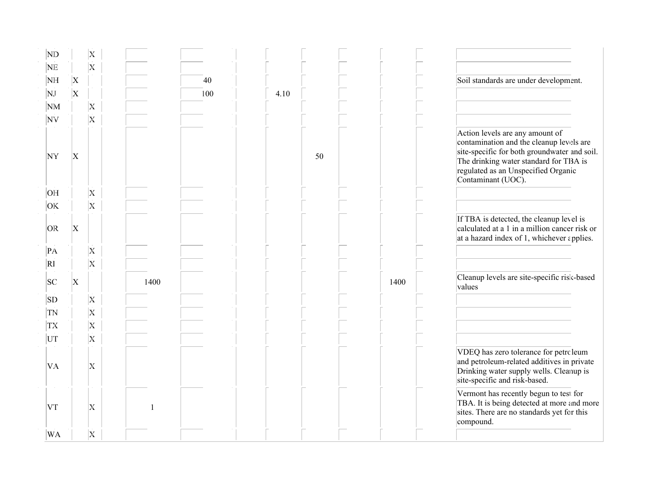| ND             |           |                         | X                       |      |     |      |    |      |                                                                                                                                                                                                                                    |
|----------------|-----------|-------------------------|-------------------------|------|-----|------|----|------|------------------------------------------------------------------------------------------------------------------------------------------------------------------------------------------------------------------------------------|
| NE             |           |                         | $\overline{\mathbf{x}}$ |      |     |      |    |      |                                                                                                                                                                                                                                    |
| NH             |           | X                       |                         |      | 40  |      |    |      | Soil standards are under development.                                                                                                                                                                                              |
| NJ.            |           | $\overline{\mathrm{X}}$ |                         |      | 100 | 4.10 |    |      |                                                                                                                                                                                                                                    |
|                | <b>NM</b> |                         | $\overline{\mathbf{X}}$ |      |     |      |    |      |                                                                                                                                                                                                                                    |
| NV             |           |                         | $\overline{\text{X}}$   |      |     |      |    |      |                                                                                                                                                                                                                                    |
| NY             |           | X                       |                         |      |     |      | 50 |      | Action levels are any amount of<br>contamination and the cleanup levels are<br>site-specific for both groundwater and soil.<br>The drinking water standard for TBA is<br>regulated as an Unspecified Organic<br>Contaminant (UOC). |
| <b>HO</b>      |           |                         | $\overline{\mathrm{x}}$ |      |     |      |    |      |                                                                                                                                                                                                                                    |
| OK             |           |                         | $\overline{\mathrm{X}}$ |      |     |      |    |      |                                                                                                                                                                                                                                    |
| OR             |           | X                       |                         |      |     |      |    |      | If TBA is detected, the cleanup level is<br>calculated at a 1 in a million cancer risk or<br>at a hazard index of 1, whichever applies.                                                                                            |
| $\mathbf{P}$ A |           |                         | $\mathbf{x}$            |      |     |      |    |      |                                                                                                                                                                                                                                    |
| $\overline{R}$ |           |                         | $\overline{\mathbf{x}}$ |      |     |      |    |      |                                                                                                                                                                                                                                    |
| SC             |           | $\mathbf x$             |                         | 1400 |     |      |    | 1400 | Cleanup levels are site-specific risk-based<br>values                                                                                                                                                                              |
| SD             |           |                         | $\overline{X}$          |      |     |      |    |      |                                                                                                                                                                                                                                    |
| TN             |           |                         | $\overline{\mathbf{x}}$ |      |     |      |    |      |                                                                                                                                                                                                                                    |
| TX             |           |                         | $\overline{\mathbf{X}}$ |      |     |      |    |      |                                                                                                                                                                                                                                    |
| UT             |           |                         | $\overline{\mathbf{X}}$ |      |     |      |    |      |                                                                                                                                                                                                                                    |
| VA             |           |                         | X                       |      |     |      |    |      | VDEQ has zero tolerance for petroleum<br>and petroleum-related additives in private<br>Drinking water supply wells. Cleanup is<br>site-specific and risk-based.                                                                    |
| VT             |           |                         | X                       |      |     |      |    |      | Vermont has recently begun to test for<br>TBA. It is being detected at more and more<br>sites. There are no standards yet for this<br>compound.                                                                                    |
|                | WA        |                         | $\mathbf x$             |      |     |      |    |      |                                                                                                                                                                                                                                    |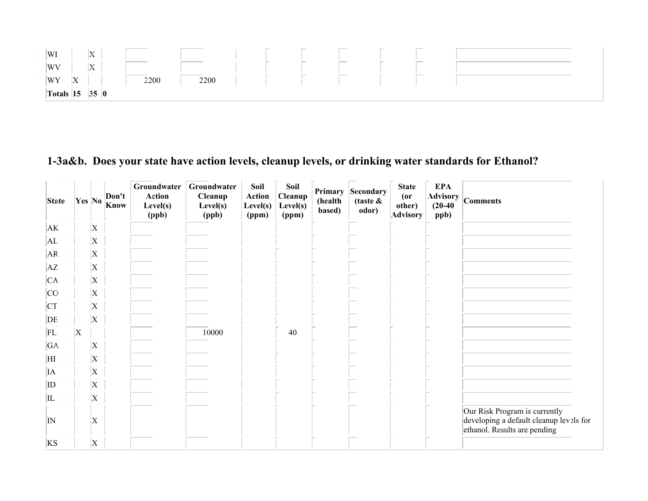

# 1-3a&b. Does your state have action levels, cleanup levels, or drinking water standards for Ethanol?

| <b>State</b> |   | Yes No                    | Don't<br>Know | Groundwater<br><b>Action</b><br>Level(s)<br>(ppb) | Groundwater<br><b>Cleanup</b><br>Level(s)<br>(ppb) | Soil<br><b>Action</b><br>Level(s)<br>(ppm) | Soil<br>Cleanup<br>Level(s)<br>(ppm) | Primary<br>(health<br>based) | <b>Secondary</b><br>(taste $\&$<br>odor) | <b>State</b><br>$($ or<br>other)<br><b>Advisory</b> | <b>EPA</b><br><b>Advisory</b><br>$(20-40)$<br>ppb) | <b>Comments</b>                                                                                          |
|--------------|---|---------------------------|---------------|---------------------------------------------------|----------------------------------------------------|--------------------------------------------|--------------------------------------|------------------------------|------------------------------------------|-----------------------------------------------------|----------------------------------------------------|----------------------------------------------------------------------------------------------------------|
| AK.          |   | X                         |               |                                                   |                                                    |                                            |                                      |                              |                                          |                                                     |                                                    |                                                                                                          |
| AL           |   | $\mathbf{X}$              |               |                                                   |                                                    |                                            |                                      |                              |                                          |                                                     |                                                    |                                                                                                          |
| AR           |   | X                         |               |                                                   |                                                    |                                            |                                      |                              |                                          |                                                     |                                                    |                                                                                                          |
| AZ.          |   | X                         |               |                                                   |                                                    |                                            |                                      |                              |                                          |                                                     |                                                    |                                                                                                          |
| CA.          |   | $\mathbf{\overline{X}}$   |               |                                                   |                                                    |                                            |                                      |                              |                                          |                                                     |                                                    |                                                                                                          |
| CO           |   | X                         |               |                                                   |                                                    |                                            |                                      |                              |                                          |                                                     |                                                    |                                                                                                          |
| CT           |   | X                         |               |                                                   |                                                    |                                            |                                      |                              |                                          |                                                     |                                                    |                                                                                                          |
| DE           |   | $\vert$ X                 |               |                                                   |                                                    |                                            |                                      |                              |                                          |                                                     |                                                    |                                                                                                          |
| FL           | X |                           |               |                                                   | 10000                                              |                                            | 40                                   |                              |                                          |                                                     |                                                    |                                                                                                          |
| GA.          |   | $\boldsymbol{\mathrm{X}}$ |               |                                                   |                                                    |                                            |                                      |                              |                                          |                                                     |                                                    |                                                                                                          |
| HI           |   | $\vert$ X                 |               |                                                   |                                                    |                                            |                                      |                              |                                          |                                                     |                                                    |                                                                                                          |
| <b>IA</b>    |   | X                         |               |                                                   |                                                    |                                            |                                      |                              |                                          |                                                     |                                                    |                                                                                                          |
| ID           |   | X                         |               |                                                   |                                                    |                                            |                                      |                              |                                          |                                                     |                                                    |                                                                                                          |
| IL           |   | X                         |               |                                                   |                                                    |                                            |                                      |                              |                                          |                                                     |                                                    |                                                                                                          |
| IN           |   | $\overline{X}$            |               |                                                   |                                                    |                                            |                                      |                              |                                          |                                                     |                                                    | Our Risk Program is currently<br>developing a default cleanup levels for<br>ethanol. Results are pending |
| KS           |   | $\boldsymbol{\mathrm{X}}$ |               |                                                   |                                                    |                                            |                                      |                              |                                          |                                                     |                                                    |                                                                                                          |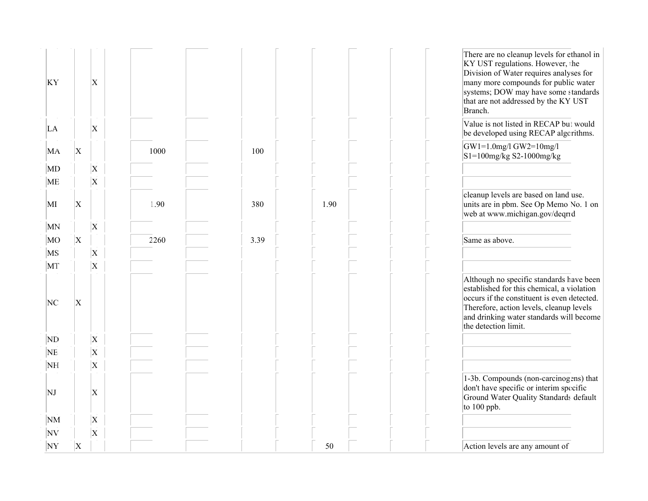| KY        |                         | $\vert$ X                 |      |      |      | There are no cleanup levels for ethanol in<br>KY UST regulations. However, the<br>Division of Water requires analyses for<br>many more compounds for public water<br>systems; DOW may have some standards<br>that are not addressed by the KY UST<br>Branch. |
|-----------|-------------------------|---------------------------|------|------|------|--------------------------------------------------------------------------------------------------------------------------------------------------------------------------------------------------------------------------------------------------------------|
| LA        |                         | $\boldsymbol{\mathrm{X}}$ |      |      |      | Value is not listed in RECAP but would<br>be developed using RECAP algorithms.                                                                                                                                                                               |
| MA        | $\vert$ X               |                           | 1000 | 100  |      | $GW1=1.0$ mg/l $GW2=10$ mg/l<br>$S1=100$ mg/kg S2-1000mg/kg                                                                                                                                                                                                  |
| MD        |                         | $\vert$ X                 |      |      |      |                                                                                                                                                                                                                                                              |
| ME        |                         | $\overline{X}$            |      |      |      |                                                                                                                                                                                                                                                              |
| MI        | $\vert$ X               |                           | 1.90 | 380  | 1.90 | cleanup levels are based on land use.<br>units are in pbm. See Op Memo No. 1 on<br>web at www.michigan.gov/deqrrd                                                                                                                                            |
| MN        |                         | $\vert$ X                 |      |      |      |                                                                                                                                                                                                                                                              |
| MO        | $\overline{\mathrm{X}}$ |                           | 2260 | 3.39 |      | Same as above.                                                                                                                                                                                                                                               |
| MS        |                         | $\vert$ X                 |      |      |      |                                                                                                                                                                                                                                                              |
| MT        |                         | $\vert$ X                 |      |      |      |                                                                                                                                                                                                                                                              |
| NC        | X                       |                           |      |      |      | Although no specific standards have been<br>established for this chemical, a violation<br>occurs if the constituent is even detected.<br>Therefore, action levels, cleanup levels<br>and drinking water standards will become<br>the detection limit.        |
| ND        |                         | $\vert$ X                 |      |      |      |                                                                                                                                                                                                                                                              |
| <b>NE</b> |                         | $\mathbf{x}$              |      |      |      |                                                                                                                                                                                                                                                              |
| NH        |                         | $\vert$ X                 |      |      |      |                                                                                                                                                                                                                                                              |
| NJ        |                         | $\vert$ X                 |      |      |      | 1-3b. Compounds (non-carcinogens) that<br>don't have specific or interim specific<br>Ground Water Quality Standards default<br>to 100 ppb.                                                                                                                   |
| NM        |                         | $\vert$ X                 |      |      |      |                                                                                                                                                                                                                                                              |
| NV        |                         | $\overline{\mathbf{x}}$   |      |      |      |                                                                                                                                                                                                                                                              |
| NY        | X                       |                           |      |      | 50   | Action levels are any amount of                                                                                                                                                                                                                              |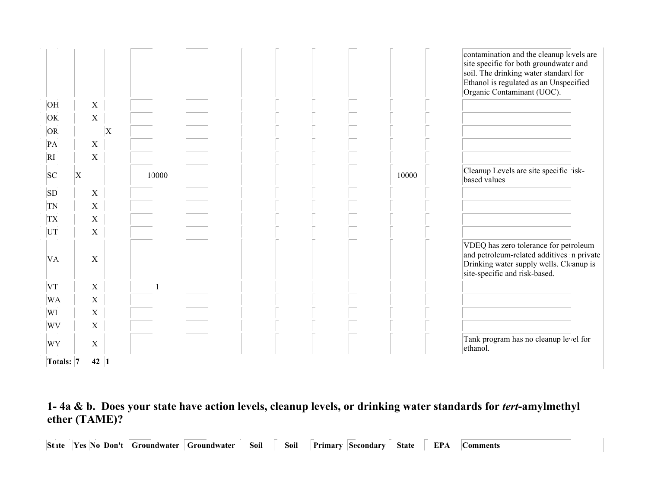|                        |   |                |   |       |  |  |       | contamination and the cleanup levels are<br>site specific for both groundwater and<br>soil. The drinking water standard for<br>Ethanol is regulated as an Unspecified<br>Organic Contaminant (UOC). |
|------------------------|---|----------------|---|-------|--|--|-------|-----------------------------------------------------------------------------------------------------------------------------------------------------------------------------------------------------|
| OE                     |   | X              |   |       |  |  |       |                                                                                                                                                                                                     |
| OK.                    |   | $\mathbf X$    |   |       |  |  |       |                                                                                                                                                                                                     |
| OR.                    |   |                | X |       |  |  |       |                                                                                                                                                                                                     |
| PA                     |   | $\mathbf X$    |   |       |  |  |       |                                                                                                                                                                                                     |
| $\overline{\text{RI}}$ |   | $\overline{X}$ |   |       |  |  |       |                                                                                                                                                                                                     |
| SC                     | X |                |   | 10000 |  |  | 10000 | Cleanup Levels are site specific risk-<br>based values                                                                                                                                              |
| <b>SD</b>              |   | X              |   |       |  |  |       |                                                                                                                                                                                                     |
| TN                     |   | $\overline{X}$ |   |       |  |  |       |                                                                                                                                                                                                     |
| <b>TX</b>              |   | $\overline{X}$ |   |       |  |  |       |                                                                                                                                                                                                     |
| UT                     |   | $\overline{X}$ |   |       |  |  |       |                                                                                                                                                                                                     |
| VA.                    |   | $\overline{X}$ |   |       |  |  |       | VDEQ has zero tolerance for petroleum<br>and petroleum-related additives in private<br>Drinking water supply wells. Cleanup is<br>site-specific and risk-based.                                     |
| VT                     |   | X              |   |       |  |  |       |                                                                                                                                                                                                     |
| WA                     |   | $\overline{X}$ |   |       |  |  |       |                                                                                                                                                                                                     |
| WI                     |   | X              |   |       |  |  |       |                                                                                                                                                                                                     |
| WV                     |   | $\mathbf X$    |   |       |  |  |       |                                                                                                                                                                                                     |
| WY                     |   | X              |   |       |  |  |       | Tank program has no cleanup level for<br>ethanol.                                                                                                                                                   |
| Totals: 7              |   | 42 1           |   |       |  |  |       |                                                                                                                                                                                                     |

#### 1- 4a & b. Does your state have action levels, cleanup levels, or drinking water standards for *tert*-amylmethyl ether (TAME)?

State Yes No Don't Groundwater Groundwater Soil Soil Primary Secondary State EPA **Comments** 

(health

(taste &

(or

Advisory

Cleanup

Know

Action

Cleanup

Action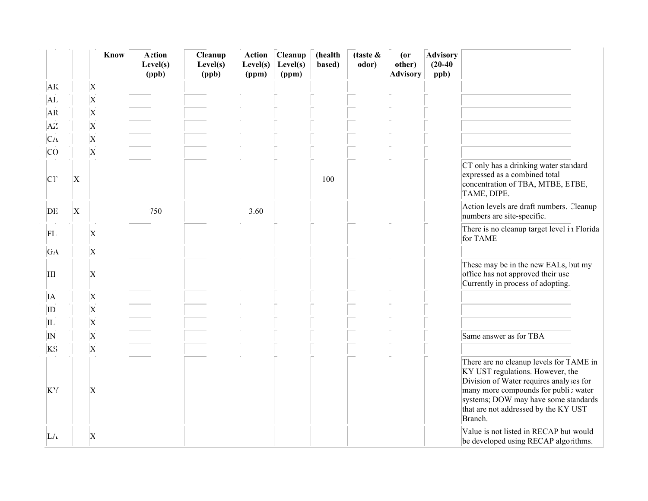|           |           |                           | Know | <b>Action</b><br>Level(s)<br>(ppb) | Cleanup<br>Level(s)<br>(ppb) | <b>Action</b><br>Level(s)<br>(ppm) | Cleanup<br>Level(s)<br>(ppm) | (health<br>based) | (taste $\&$<br>odor) | $($ or<br>other)<br><b>Advisory</b> | <b>Advisory</b><br>$(20-40)$<br>ppb) |                                                                                                                                                                                                                                                           |
|-----------|-----------|---------------------------|------|------------------------------------|------------------------------|------------------------------------|------------------------------|-------------------|----------------------|-------------------------------------|--------------------------------------|-----------------------------------------------------------------------------------------------------------------------------------------------------------------------------------------------------------------------------------------------------------|
| AK        |           | $\mathbf X$               |      |                                    |                              |                                    |                              |                   |                      |                                     |                                      |                                                                                                                                                                                                                                                           |
| AL        |           | $\mathbf X$               |      |                                    |                              |                                    |                              |                   |                      |                                     |                                      |                                                                                                                                                                                                                                                           |
| AR        |           | $\mathbf X$               |      |                                    |                              |                                    |                              |                   |                      |                                     |                                      |                                                                                                                                                                                                                                                           |
| AΖ        |           | $\mathbf X$               |      |                                    |                              |                                    |                              |                   |                      |                                     |                                      |                                                                                                                                                                                                                                                           |
| CА        |           | $\overline{X}$            |      |                                    |                              |                                    |                              |                   |                      |                                     |                                      |                                                                                                                                                                                                                                                           |
| <b>CO</b> |           | $\mathbf X$               |      |                                    |                              |                                    |                              |                   |                      |                                     |                                      |                                                                                                                                                                                                                                                           |
| <b>CT</b> | X         |                           |      |                                    |                              |                                    |                              | 100               |                      |                                     |                                      | CT only has a drinking water standard<br>expressed as a combined total<br>concentration of TBA, MTBE, ETBE,<br>TAME, DIPE.                                                                                                                                |
| DE        | $\vert$ X |                           |      | 750                                |                              | 3.60                               |                              |                   |                      |                                     |                                      | Action levels are draft numbers. Cleanup<br>numbers are site-specific.                                                                                                                                                                                    |
| FL.       |           | $\mathbf X$               |      |                                    |                              |                                    |                              |                   |                      |                                     |                                      | There is no cleanup target level in Florida<br>for TAME                                                                                                                                                                                                   |
| GA        |           | $\mathbf X$               |      |                                    |                              |                                    |                              |                   |                      |                                     |                                      |                                                                                                                                                                                                                                                           |
| HІ        |           | $\mathbf X$               |      |                                    |                              |                                    |                              |                   |                      |                                     |                                      | These may be in the new EALs, but my<br>office has not approved their use.<br>Currently in process of adopting.                                                                                                                                           |
| IA        |           | $\mathbf X$               |      |                                    |                              |                                    |                              |                   |                      |                                     |                                      |                                                                                                                                                                                                                                                           |
| $ $ ID    |           | $\overline{X}$            |      |                                    |                              |                                    |                              |                   |                      |                                     |                                      |                                                                                                                                                                                                                                                           |
| IL        |           | $\mathbf X$               |      |                                    |                              |                                    |                              |                   |                      |                                     |                                      |                                                                                                                                                                                                                                                           |
| N         |           | $\boldsymbol{\mathrm{X}}$ |      |                                    |                              |                                    |                              |                   |                      |                                     |                                      | Same answer as for TBA                                                                                                                                                                                                                                    |
| KS        |           | $\overline{X}$            |      |                                    |                              |                                    |                              |                   |                      |                                     |                                      |                                                                                                                                                                                                                                                           |
| KY        |           | $\mathbf X$               |      |                                    |                              |                                    |                              |                   |                      |                                     |                                      | There are no cleanup levels for TAME in<br>KY UST regulations. However, the<br>Division of Water requires analyses for<br>many more compounds for public water<br>systems; DOW may have some standards<br>that are not addressed by the KY UST<br>Branch. |
| LA        |           | X                         |      |                                    |                              |                                    |                              |                   |                      |                                     |                                      | Value is not listed in RECAP but would<br>be developed using RECAP algorithms.                                                                                                                                                                            |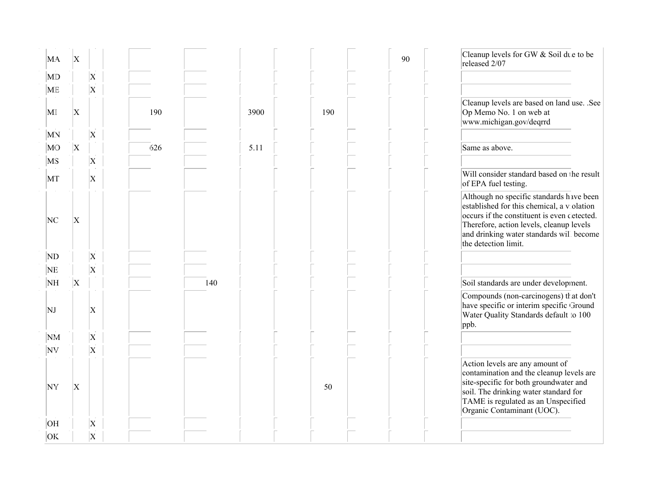| MA        | ΙX             |                           |     |     |      |     | 90 | Cleanup levels for GW & Soil due to be<br>released 2/07                                                                                                                                                                                               |
|-----------|----------------|---------------------------|-----|-----|------|-----|----|-------------------------------------------------------------------------------------------------------------------------------------------------------------------------------------------------------------------------------------------------------|
| MD        |                | $\overline{X}$            |     |     |      |     |    |                                                                                                                                                                                                                                                       |
| <b>ME</b> |                | $\overline{X}$            |     |     |      |     |    |                                                                                                                                                                                                                                                       |
| MI        | $\vert$ X      |                           | 190 |     | 3900 | 190 |    | Cleanup levels are based on land use. .See<br>Op Memo No. 1 on web at<br>www.michigan.gov/deqrrd                                                                                                                                                      |
| MN        |                | $\vert$ X                 |     |     |      |     |    |                                                                                                                                                                                                                                                       |
| MO        | $\vert$ X      |                           | 626 |     | 5.11 |     |    | Same as above.                                                                                                                                                                                                                                        |
| MS        |                | $\vert$ X                 |     |     |      |     |    |                                                                                                                                                                                                                                                       |
| MТ        |                | $\mathbf{X}$              |     |     |      |     |    | Will consider standard based on the result<br>of EPA fuel testing.                                                                                                                                                                                    |
| NC        | $\vert$ X      |                           |     |     |      |     |    | Although no specific standards have been<br>established for this chemical, a violation<br>occurs if the constituent is even detected.<br>Therefore, action levels, cleanup levels<br>and drinking water standards will become<br>the detection limit. |
| ND        |                | $\vert$ X                 |     |     |      |     |    |                                                                                                                                                                                                                                                       |
| NE        |                | $\overline{X}$            |     |     |      |     |    |                                                                                                                                                                                                                                                       |
| NH        | $\overline{X}$ |                           |     | 140 |      |     |    | Soil standards are under development.                                                                                                                                                                                                                 |
| NJ        |                | $\mathbf{X}$              |     |     |      |     |    | Compounds (non-carcinogens) that don't<br>have specific or interim specific Ground<br>Water Quality Standards default to 100<br>ppb.                                                                                                                  |
| NM        |                | $\mathbf X$               |     |     |      |     |    |                                                                                                                                                                                                                                                       |
| <b>NV</b> |                | $\mathbf X$               |     |     |      |     |    |                                                                                                                                                                                                                                                       |
| NY        | X              |                           |     |     |      | 50  |    | Action levels are any amount of<br>contamination and the cleanup levels are<br>site-specific for both groundwater and<br>soil. The drinking water standard for<br>TAME is regulated as an Unspecified<br>Organic Contaminant (UOC).                   |
| <b>OH</b> |                | $\boldsymbol{\mathrm{X}}$ |     |     |      |     |    |                                                                                                                                                                                                                                                       |
| <b>OK</b> |                | $\overline{X}$            |     |     |      |     |    |                                                                                                                                                                                                                                                       |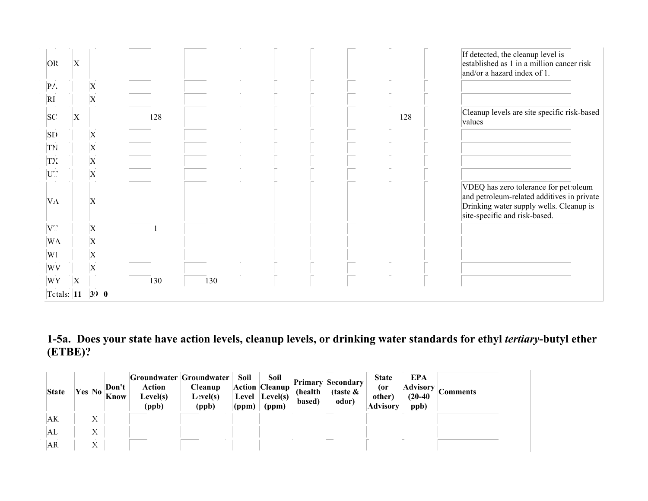|                | Totals: $ 11 $ |   | 39 0                      |     |     |  |  |     |                                                                                                                                                                 |
|----------------|----------------|---|---------------------------|-----|-----|--|--|-----|-----------------------------------------------------------------------------------------------------------------------------------------------------------------|
| WY             |                | Χ |                           | 130 | 130 |  |  |     |                                                                                                                                                                 |
| WV             |                |   | $\mathbf X$               |     |     |  |  |     |                                                                                                                                                                 |
| WI             |                |   | X                         |     |     |  |  |     |                                                                                                                                                                 |
| <b>WA</b>      |                |   | $\boldsymbol{\mathrm{X}}$ |     |     |  |  |     |                                                                                                                                                                 |
| VT             |                |   | X                         |     |     |  |  |     |                                                                                                                                                                 |
| VA             |                |   | $\overline{X}$            |     |     |  |  |     | VDEQ has zero tolerance for petroleum<br>and petroleum-related additives in private<br>Drinking water supply wells. Cleanup is<br>site-specific and risk-based. |
| UT             |                |   | $\overline{X}$            |     |     |  |  |     |                                                                                                                                                                 |
| TX             |                |   | $\mathbf X$               |     |     |  |  |     |                                                                                                                                                                 |
| TN             |                |   | X                         |     |     |  |  |     |                                                                                                                                                                 |
| SD             |                |   | $\boldsymbol{\mathrm{X}}$ |     |     |  |  |     |                                                                                                                                                                 |
| SC             |                | Χ |                           | 128 |     |  |  | 128 | Cleanup levels are site specific risk-based<br>values                                                                                                           |
| RI             |                |   | $\overline{X}$            |     |     |  |  |     |                                                                                                                                                                 |
| $\mathbf{P}$ A |                |   | $\overline{X}$            |     |     |  |  |     |                                                                                                                                                                 |
| OR             |                | X |                           |     |     |  |  |     | If detected, the cleanup level is<br>established as 1 in a million cancer risk<br>and/or a hazard index of 1.                                                   |

## 1-5a. Does your state have action levels, cleanup levels, or drinking water standards for ethyl *tertiary*-butyl ether (ETBE)?

| <b>State</b> |         | Don't<br><b>EXAMPLE 18</b>   <b>NO</b>   <b>Know</b> | <b>Action</b><br>Level(s)<br>(ppb) | Groundwater Groundwater  <br><b>Cleanup</b><br>Level(s)<br>(ppb) | Soil<br>(ppm) | Soil<br>Action Cleanup<br>Level Level(s)<br>(ppm) | (health<br>based) | <b>Primary Secondary</b><br>(taste $\&$<br>odor) | <b>State</b><br>(or<br>other)<br><b>Advisory</b> | EPA<br><b>Advisory</b><br>$(20-40)$<br>ppb) | <b>Comments</b> |
|--------------|---------|------------------------------------------------------|------------------------------------|------------------------------------------------------------------|---------------|---------------------------------------------------|-------------------|--------------------------------------------------|--------------------------------------------------|---------------------------------------------|-----------------|
| AK.          | X       |                                                      |                                    |                                                                  |               |                                                   |                   |                                                  |                                                  |                                             |                 |
| ΙAL          | Х       |                                                      |                                    |                                                                  |               |                                                   |                   |                                                  |                                                  |                                             |                 |
| AR.          | τr<br>A |                                                      |                                    |                                                                  |               |                                                   |                   |                                                  |                                                  |                                             |                 |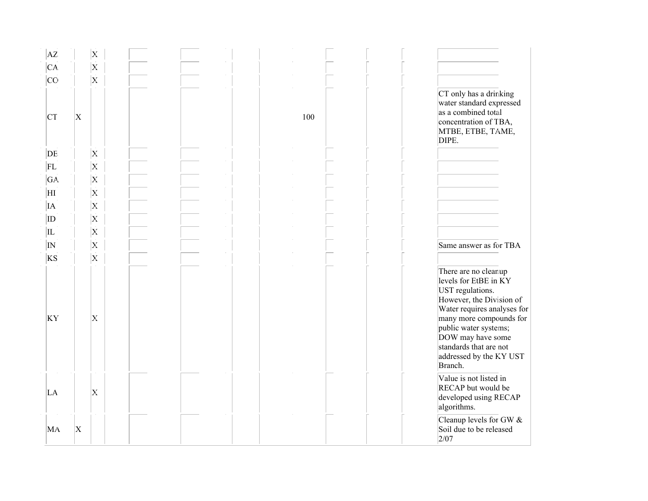| AZ             |   | $\mathbf{x}$            |  |     |                                                                                                                                                                                                                                                                       |
|----------------|---|-------------------------|--|-----|-----------------------------------------------------------------------------------------------------------------------------------------------------------------------------------------------------------------------------------------------------------------------|
| CA.            |   | $\overline{\mathbf{x}}$ |  |     |                                                                                                                                                                                                                                                                       |
| $ _{\rm CC}$   |   | $\overline{\mathbf{X}}$ |  |     |                                                                                                                                                                                                                                                                       |
| <b>CT</b>      | X |                         |  | 100 | CT only has a drinking<br>water standard expressed<br>as a combined total<br>concentration of TBA,<br>MTBE, ETBE, TAME,<br>DIPE.                                                                                                                                      |
| DE             |   | $\mathbf{X}$            |  |     |                                                                                                                                                                                                                                                                       |
| FL             |   | $\mathbf{X}$            |  |     |                                                                                                                                                                                                                                                                       |
| GA             |   | $\overline{\mathbf{X}}$ |  |     |                                                                                                                                                                                                                                                                       |
| ΗI             |   | $\overline{\mathbf{x}}$ |  |     |                                                                                                                                                                                                                                                                       |
| IA             |   | $\overline{\mathbf{x}}$ |  |     |                                                                                                                                                                                                                                                                       |
| ID             |   | $\overline{\mathbf{X}}$ |  |     |                                                                                                                                                                                                                                                                       |
| IL             |   | $\overline{\mathbf{x}}$ |  |     |                                                                                                                                                                                                                                                                       |
| $ {}_{\rm IN}$ |   | $\mathbf{x}$            |  |     | Same answer as for TBA                                                                                                                                                                                                                                                |
| KS             |   | $\overline{\mathbf{X}}$ |  |     |                                                                                                                                                                                                                                                                       |
| KY             |   | $\mathbf{X}$            |  |     | There are no cleanup<br>levels for EtBE in KY<br>UST regulations.<br>However, the Division of<br>Water requires analyses for<br>many more compounds for<br>public water systems;<br>DOW may have some<br>standards that are not<br>addressed by the KY UST<br>Branch. |
| LA             |   | $\mathbf{X}$            |  |     | Value is not listed in<br>RECAP but would be<br>developed using RECAP<br>algorithms.                                                                                                                                                                                  |
| MA             | X |                         |  |     | Cleanup levels for GW &<br>Soil due to be released<br>2/07                                                                                                                                                                                                            |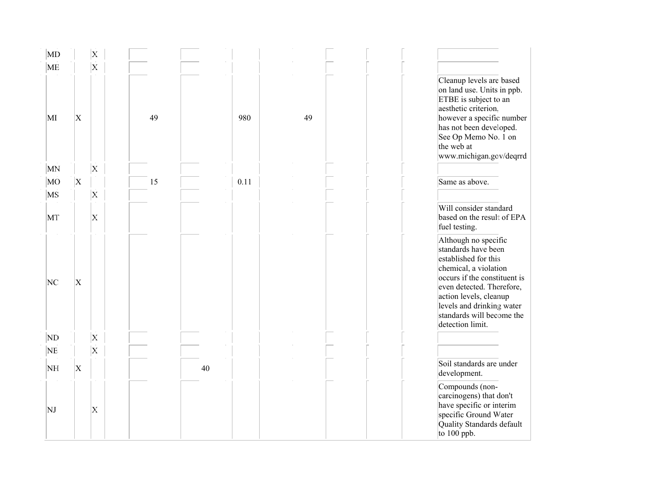| $\overline{\mathrm{MD}}$ |                          | X                       |    |    |      |    |  |                                                                                                                                                                                                                                                                   |
|--------------------------|--------------------------|-------------------------|----|----|------|----|--|-------------------------------------------------------------------------------------------------------------------------------------------------------------------------------------------------------------------------------------------------------------------|
| ME                       |                          | $\overline{\mathbf{x}}$ |    |    |      |    |  |                                                                                                                                                                                                                                                                   |
| MI                       | X                        |                         | 49 |    | 980  | 49 |  | Cleanup levels are based<br>on land use. Units in ppb.<br>ETBE is subject to an<br>aesthetic criterion.<br>however a specific number<br>has not been developed.<br>See Op Memo No. 1 on<br>the web at<br>www.michigan.gcv/deqrrd                                  |
| MN                       |                          | $\overline{\mathbf{X}}$ |    |    |      |    |  |                                                                                                                                                                                                                                                                   |
| MO                       | $\vert \mathrm{X} \vert$ |                         | 15 |    | 0.11 |    |  | Same as above.                                                                                                                                                                                                                                                    |
| <b>MS</b>                |                          | $\mathbf{x}$            |    |    |      |    |  |                                                                                                                                                                                                                                                                   |
| MT                       |                          | X.                      |    |    |      |    |  | Will consider standard<br>based on the result of EPA<br>fuel testing.                                                                                                                                                                                             |
| NC                       | X                        |                         |    |    |      |    |  | Although no specific<br>standards have been<br>established for this<br>chemical, a violation<br>occurs if the constituent is<br>even detected. Therefore,<br>action levels, cleanup<br>levels and drinking water<br>standards will become the<br>detection limit. |
| ND                       |                          | $\mathbf{x}$            |    |    |      |    |  |                                                                                                                                                                                                                                                                   |
| NE.                      |                          | $\mathbf{x}$            |    |    |      |    |  |                                                                                                                                                                                                                                                                   |
| NH                       | $\mathbf X$              |                         |    | 40 |      |    |  | Soil standards are under<br>development.                                                                                                                                                                                                                          |
| NJ                       |                          | X                       |    |    |      |    |  | Compounds (non-<br>carcinogens) that don't<br>have specific or interim<br>specific Ground Water<br>Quality Standards default<br>to $100$ ppb.                                                                                                                     |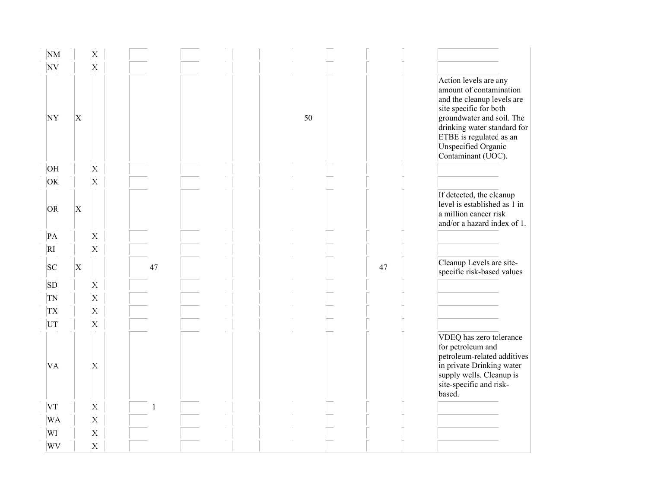| NM              |           | $\mathbf{X}$                  |    |  |    |    |                                                                                                                                                                                                                                              |
|-----------------|-----------|-------------------------------|----|--|----|----|----------------------------------------------------------------------------------------------------------------------------------------------------------------------------------------------------------------------------------------------|
| N V             |           | $\overline{\mathbf{x}}$       |    |  |    |    |                                                                                                                                                                                                                                              |
| <b>NY</b>       | $\vert$ X | $\sim$                        |    |  | 50 |    | Action levels are any<br>amount of contamination<br>and the cleanup levels are<br>site specific for both<br>groundwater and soil. The<br>drinking water standard for<br>ETBE is regulated as an<br>Unspecified Organic<br>Contaminant (UOC). |
| OE              |           | $\mathbf{X}$                  |    |  |    |    |                                                                                                                                                                                                                                              |
| OK.             |           | $\overline{\mathbf{x}}$<br>×. |    |  |    |    |                                                                                                                                                                                                                                              |
| OR.             | $\vert$ X |                               |    |  |    |    | If detected, the cleanup<br>level is established as 1 in<br>a million cancer risk<br>and/or a hazard index of 1.                                                                                                                             |
| $\overline{PA}$ |           | $\mathbf{X}$                  |    |  |    |    |                                                                                                                                                                                                                                              |
| RI              |           | $\overline{\mathbf{x}}$       |    |  |    |    |                                                                                                                                                                                                                                              |
| SC              | X         |                               | 47 |  |    | 47 | Cleanup Levels are site-<br>specific risk-based values                                                                                                                                                                                       |
| <b>SD</b>       |           | $\overline{\mathbf{X}}$       |    |  |    |    |                                                                                                                                                                                                                                              |
| <b>TN</b>       |           | $\overline{\mathbf{x}}$       |    |  |    |    |                                                                                                                                                                                                                                              |
| TX.             |           | $\mathbf{X}$                  |    |  |    |    |                                                                                                                                                                                                                                              |
| UT              |           | $\overline{\mathbf{x}}$       |    |  |    |    |                                                                                                                                                                                                                                              |
| VA.             |           | $\mathbf{X}$                  |    |  |    |    | VDEQ has zero tolerance<br>for petroleum and<br>petroleum-related additives<br>in private Drinking water<br>supply wells. Cleanup is<br>site-specific and risk-<br>based.                                                                    |
| VT              |           | $\mathbf{X}$                  |    |  |    |    |                                                                                                                                                                                                                                              |
| WA              |           | $\mathbf{X}$                  |    |  |    |    |                                                                                                                                                                                                                                              |
| WI              |           | $\overline{\mathbf{x}}$       |    |  |    |    |                                                                                                                                                                                                                                              |
| WV              |           | $\overline{\mathbf{X}}$       |    |  |    |    |                                                                                                                                                                                                                                              |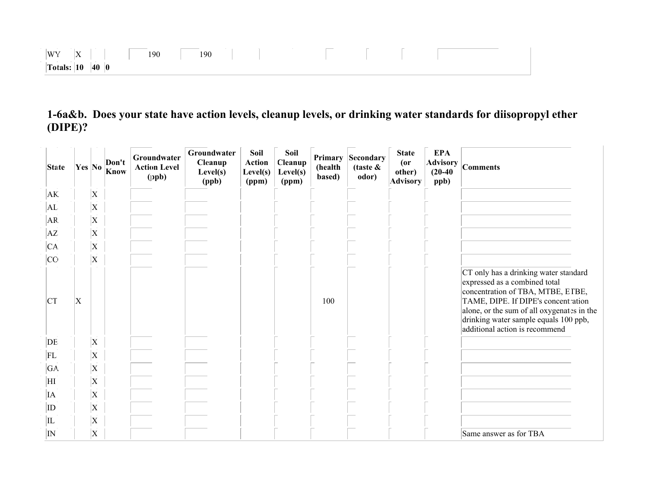| $ \mathbf{x} \rangle$<br>W'<br>14 L | 190 | 100<br>. | __ |  |  |
|-------------------------------------|-----|----------|----|--|--|
| 40<br>Totals: $ 10 $<br>10          |     |          |    |  |  |

1-6a&b. Does your state have action levels, cleanup levels, or drinking water standards for diisopropyl ether (DIPE)?

| <b>State</b> | Yes No         |                           | Don't<br>Know | Groundwater<br><b>Action Level</b><br>(ppb) | Groundwater<br>Cleanup<br>Level(s)<br>(ppb) | Soil<br><b>Action</b><br>Level(s)<br>(ppm) | Soil<br>Cleanup<br>Level(s)<br>(ppm) | Primary<br>(health<br>based) | Secondary<br>(taste $\&$<br>odor) | <b>State</b><br>$($ or<br>other)<br><b>Advisory</b> | <b>EPA</b><br><b>Advisory</b><br>$(20-40)$<br>ppb) | <b>Comments</b>                                                                                                                                                                                                                                                             |
|--------------|----------------|---------------------------|---------------|---------------------------------------------|---------------------------------------------|--------------------------------------------|--------------------------------------|------------------------------|-----------------------------------|-----------------------------------------------------|----------------------------------------------------|-----------------------------------------------------------------------------------------------------------------------------------------------------------------------------------------------------------------------------------------------------------------------------|
| AK.          |                | X                         |               |                                             |                                             |                                            |                                      |                              |                                   |                                                     |                                                    |                                                                                                                                                                                                                                                                             |
| AL           |                | X                         |               |                                             |                                             |                                            |                                      |                              |                                   |                                                     |                                                    |                                                                                                                                                                                                                                                                             |
| AR.          |                | X                         |               |                                             |                                             |                                            |                                      |                              |                                   |                                                     |                                                    |                                                                                                                                                                                                                                                                             |
| AZ           |                | $\boldsymbol{\mathrm{X}}$ |               |                                             |                                             |                                            |                                      |                              |                                   |                                                     |                                                    |                                                                                                                                                                                                                                                                             |
| CA.          |                | X                         |               |                                             |                                             |                                            |                                      |                              |                                   |                                                     |                                                    |                                                                                                                                                                                                                                                                             |
| CO           |                | X                         |               |                                             |                                             |                                            |                                      |                              |                                   |                                                     |                                                    |                                                                                                                                                                                                                                                                             |
| <b>CT</b>    | $\overline{X}$ |                           |               |                                             |                                             |                                            |                                      | 100                          |                                   |                                                     |                                                    | CT only has a drinking water standard<br>expressed as a combined total<br>concentration of TBA, MTBE, ETBE,<br>TAME, DIPE. If DIPE's concentration<br>alone, or the sum of all oxygenates in the<br>drinking water sample equals 100 ppb,<br>additional action is recommend |
| DE           |                | X                         |               |                                             |                                             |                                            |                                      |                              |                                   |                                                     |                                                    |                                                                                                                                                                                                                                                                             |
| FL           |                | $\boldsymbol{\mathrm{X}}$ |               |                                             |                                             |                                            |                                      |                              |                                   |                                                     |                                                    |                                                                                                                                                                                                                                                                             |
| GA.          |                | X                         |               |                                             |                                             |                                            |                                      |                              |                                   |                                                     |                                                    |                                                                                                                                                                                                                                                                             |
| ĦΙ           |                | X                         |               |                                             |                                             |                                            |                                      |                              |                                   |                                                     |                                                    |                                                                                                                                                                                                                                                                             |
| ΙA           |                | $\boldsymbol{\mathrm{X}}$ |               |                                             |                                             |                                            |                                      |                              |                                   |                                                     |                                                    |                                                                                                                                                                                                                                                                             |
| ID           |                | $\boldsymbol{\mathrm{X}}$ |               |                                             |                                             |                                            |                                      |                              |                                   |                                                     |                                                    |                                                                                                                                                                                                                                                                             |
| IL           |                | X                         |               |                                             |                                             |                                            |                                      |                              |                                   |                                                     |                                                    |                                                                                                                                                                                                                                                                             |
| IN           |                | $\boldsymbol{\mathrm{X}}$ |               |                                             |                                             |                                            |                                      |                              |                                   |                                                     |                                                    | Same answer as for TBA                                                                                                                                                                                                                                                      |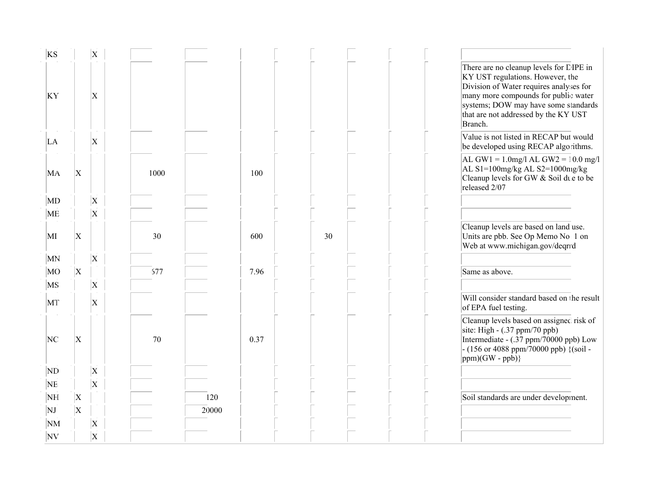| <b>KS</b>                |                           | $\mathbf{X}$              |      |       |    |                                                                                                                                                                                                                                                           |
|--------------------------|---------------------------|---------------------------|------|-------|----|-----------------------------------------------------------------------------------------------------------------------------------------------------------------------------------------------------------------------------------------------------------|
| KY                       |                           | Х                         |      |       |    | There are no cleanup levels for DIPE in<br>KY UST regulations. However, the<br>Division of Water requires analyses for<br>many more compounds for public water<br>systems; DOW may have some standards<br>that are not addressed by the KY UST<br>Branch. |
| LA                       |                           | X                         |      |       |    | Value is not listed in RECAP but would<br>be developed using RECAP algorithms.                                                                                                                                                                            |
| MA                       | $\vert$ X                 |                           | 1000 | 100   |    | $AL GW1 = 1.0$ mg/l AL GW2 = 10.0 mg/l<br>AL S1=100mg/kg AL S2=1000mg/kg<br>Cleanup levels for GW & Soil due to be<br>released 2/07                                                                                                                       |
| $\overline{\mathrm{MD}}$ |                           | $\boldsymbol{\mathrm{X}}$ |      |       |    |                                                                                                                                                                                                                                                           |
| ME                       |                           | $\boldsymbol{\mathrm{X}}$ |      |       |    |                                                                                                                                                                                                                                                           |
| MI                       | $\vert$ X                 |                           | 30   | 600   | 30 | Cleanup levels are based on land use.<br>Units are pbb. See Op Memo No. 1 on<br>Web at www.michigan.gov/deqrrd                                                                                                                                            |
| MN                       |                           | $\overline{X}$            |      |       |    |                                                                                                                                                                                                                                                           |
| MO                       | $\vert$ X                 |                           | 677  | 7.96  |    | Same as above.                                                                                                                                                                                                                                            |
| MS                       |                           | $\overline{\mathrm{X}}$   |      |       |    |                                                                                                                                                                                                                                                           |
| MT                       |                           | $\overline{X}$            |      |       |    | Will consider standard based on the result<br>of EPA fuel testing.                                                                                                                                                                                        |
| NC                       | $\vert$ X                 |                           | 70   | 0.37  |    | Cleanup levels based on assigned risk of<br>site: High $-$ (.37 ppm/70 ppb)<br>Intermediate - (.37 ppm/70000 ppb) Low<br>- (156 or 4088 ppm/70000 ppb) $\{(\text{soil} -$<br>$ ppm)(GW - ppb)\}$                                                          |
| ND                       |                           | $\boldsymbol{\mathrm{X}}$ |      |       |    |                                                                                                                                                                                                                                                           |
| <b>NE</b>                |                           | $\bar{\mathbf{x}}$        |      |       |    |                                                                                                                                                                                                                                                           |
| NH                       | $\vert$ X                 |                           |      | 120   |    | Soil standards are under development.                                                                                                                                                                                                                     |
| NJ                       | $\boldsymbol{\mathrm{X}}$ |                           |      | 20000 |    |                                                                                                                                                                                                                                                           |
| NM                       |                           | $\vert$ X                 |      |       |    |                                                                                                                                                                                                                                                           |
| NV                       |                           | $\mathbf X$               |      |       |    |                                                                                                                                                                                                                                                           |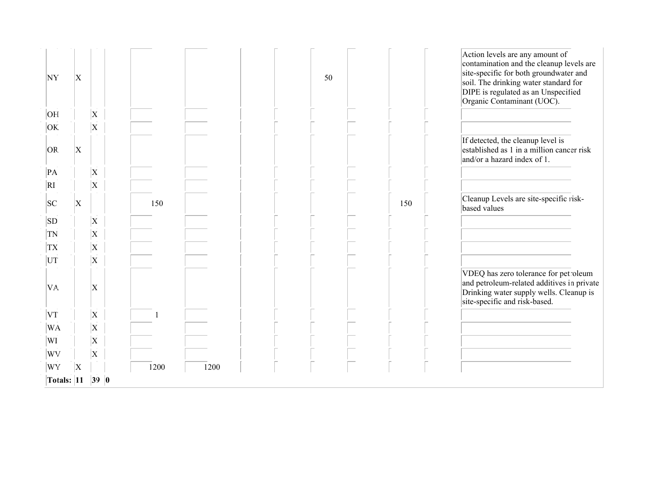| WY        | $\overline{\mathrm{X}}$   |                           | 1200 | 1200 |    |     |                                                                                                                                                                                                  |
|-----------|---------------------------|---------------------------|------|------|----|-----|--------------------------------------------------------------------------------------------------------------------------------------------------------------------------------------------------|
| WV        |                           | X                         |      |      |    |     |                                                                                                                                                                                                  |
| WI        |                           | $\boldsymbol{\mathrm{X}}$ |      |      |    |     |                                                                                                                                                                                                  |
| WA        |                           | $\boldsymbol{\mathrm{X}}$ |      |      |    |     |                                                                                                                                                                                                  |
| VT        |                           | X                         |      |      |    |     |                                                                                                                                                                                                  |
| VA.       |                           | $\boldsymbol{\mathrm{X}}$ |      |      |    |     | VDEQ has zero tolerance for petroleum<br>and petroleum-related additives in private<br>Drinking water supply wells. Cleanup is<br>site-specific and risk-based.                                  |
| UT        |                           | $\boldsymbol{\mathrm{X}}$ |      |      |    |     |                                                                                                                                                                                                  |
| <b>TX</b> |                           | $\boldsymbol{\mathrm{X}}$ |      |      |    |     |                                                                                                                                                                                                  |
| TN        |                           | $\mathbf{\overline{X}}$   |      |      |    |     |                                                                                                                                                                                                  |
| SD        |                           | X                         |      |      |    |     |                                                                                                                                                                                                  |
| SC        | X                         |                           | 150  |      |    | 150 | Cleanup Levels are site-specific risk-<br>based values                                                                                                                                           |
| RI        |                           | $\overline{\mathrm{X}}$   |      |      |    |     |                                                                                                                                                                                                  |
| PA        |                           | X                         |      |      |    |     |                                                                                                                                                                                                  |
| OR.       | $\boldsymbol{\mathrm{X}}$ |                           |      |      |    |     | If detected, the cleanup level is<br>established as 1 in a million cancer risk<br>and/or a hazard index of 1.                                                                                    |
| OK.       |                           | $\boldsymbol{\mathrm{X}}$ |      |      |    |     |                                                                                                                                                                                                  |
| OH        |                           | $\overline{\mathrm{X}}$   |      |      |    |     |                                                                                                                                                                                                  |
| NY        | $\boldsymbol{\mathrm{X}}$ |                           |      |      | 50 |     | contamination and the cleanup levels are<br>site-specific for both groundwater and<br>soil. The drinking water standard for<br>DIPE is regulated as an Unspecified<br>Organic Contaminant (UOC). |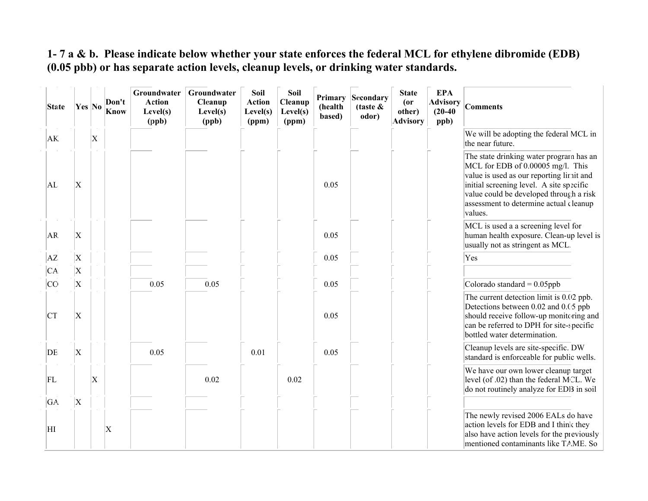#### 1- 7 a & b. Please indicate below whether your state enforces the federal MCL for ethylene dibromide (EDB) (0.05 pbb) or has separate action levels, cleanup levels, or drinking water standards.

| <b>State</b> | Yes No                  |                | Don't<br>Know            | Groundwater<br><b>Action</b><br>Level(s)<br>(ppb) | Groundwater<br>Cleanup<br>Level(s)<br>(ppb) | Soil<br><b>Action</b><br>Level(s)<br>(ppm) | Soil<br>Cleanup<br>Level(s)<br>(ppm) | Primary<br>(health<br>based) | Secondary<br>(taste $\&$<br>odor) | <b>State</b><br>(0r)<br>other)<br><b>Advisory</b> | <b>EPA</b><br><b>Advisory</b><br>$(20-40)$<br>ppb) | <b>Comments</b>                                                                                                                                                                                                                                                      |
|--------------|-------------------------|----------------|--------------------------|---------------------------------------------------|---------------------------------------------|--------------------------------------------|--------------------------------------|------------------------------|-----------------------------------|---------------------------------------------------|----------------------------------------------------|----------------------------------------------------------------------------------------------------------------------------------------------------------------------------------------------------------------------------------------------------------------------|
| AK.          |                         | $\overline{X}$ |                          |                                                   |                                             |                                            |                                      |                              |                                   |                                                   |                                                    | We will be adopting the federal MCL in<br>the near future.                                                                                                                                                                                                           |
| AL.          | X                       |                |                          |                                                   |                                             |                                            |                                      | 0.05                         |                                   |                                                   |                                                    | The state drinking water program has an<br>MCL for EDB of 0.00005 mg/l. This<br>value is used as our reporting limit and<br>initial screening level. A site specific<br>value could be developed through a risk<br>assessment to determine actual cleanup<br>values. |
| AR.          | X                       |                |                          |                                                   |                                             |                                            |                                      | 0.05                         |                                   |                                                   |                                                    | MCL is used a a screening level for<br>human health exposure. Clean-up level is<br>usually not as stringent as MCL.                                                                                                                                                  |
| AZ           | $\overline{\mathrm{X}}$ |                |                          |                                                   |                                             |                                            |                                      | 0.05                         |                                   |                                                   |                                                    | Yes                                                                                                                                                                                                                                                                  |
| CA           | $\overline{\mathrm{X}}$ |                |                          |                                                   |                                             |                                            |                                      |                              |                                   |                                                   |                                                    |                                                                                                                                                                                                                                                                      |
| <b>CO</b>    | $\overline{\mathrm{X}}$ |                |                          | 0.05                                              | 0.05                                        |                                            |                                      | 0.05                         |                                   |                                                   |                                                    | Colorado standard = $0.05$ ppb                                                                                                                                                                                                                                       |
| CT           | X                       |                |                          |                                                   |                                             |                                            |                                      | 0.05                         |                                   |                                                   |                                                    | The current detection limit is 0.02 ppb.<br>Detections between 0.02 and 0.05 ppb<br>should receive follow-up monitoring and<br>can be referred to DPH for site-specific<br>bottled water determination.                                                              |
| DE           | X                       |                |                          | 0.05                                              |                                             | 0.01                                       |                                      | 0.05                         |                                   |                                                   |                                                    | Cleanup levels are site-specific. DW<br>standard is enforceable for public wells.                                                                                                                                                                                    |
| FL           |                         | $\bf{X}$       |                          |                                                   | 0.02                                        |                                            | 0.02                                 |                              |                                   |                                                   |                                                    | We have our own lower cleanup target<br>level (of .02) than the federal MCL. We<br>do not routinely analyze for EDB in soil                                                                                                                                          |
| GA.          | X                       |                |                          |                                                   |                                             |                                            |                                      |                              |                                   |                                                   |                                                    |                                                                                                                                                                                                                                                                      |
| ΗI           |                         |                | $\vert \mathrm{X} \vert$ |                                                   |                                             |                                            |                                      |                              |                                   |                                                   |                                                    | The newly revised 2006 EALs do have<br>action levels for EDB and I think they<br>also have action levels for the previously<br>mentioned contaminants like TAME. So                                                                                                  |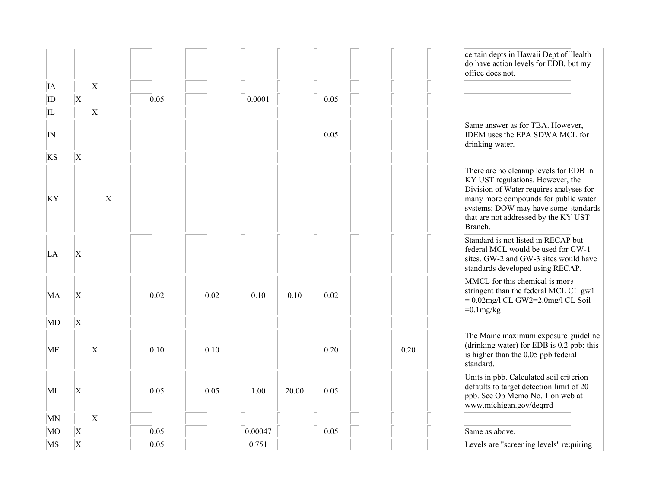|           |                           |                    |           |      |      |         |       |      |      | certain depts in Hawaii Dept of Health<br>do have action levels for EDB, but my<br>office does not.                                                                                                                                                      |
|-----------|---------------------------|--------------------|-----------|------|------|---------|-------|------|------|----------------------------------------------------------------------------------------------------------------------------------------------------------------------------------------------------------------------------------------------------------|
| IA        |                           | $\vert$ X          |           |      |      |         |       |      |      |                                                                                                                                                                                                                                                          |
| ID        | $\overline{\mathrm{X}}$   |                    |           | 0.05 |      | 0.0001  |       | 0.05 |      |                                                                                                                                                                                                                                                          |
| IL        |                           | $\vert \mathrm{X}$ |           |      |      |         |       |      |      |                                                                                                                                                                                                                                                          |
| N         |                           |                    |           |      |      |         |       | 0.05 |      | Same answer as for TBA. However,<br>IDEM uses the EPA SDWA MCL for<br>drinking water.                                                                                                                                                                    |
| KS        | $\vert$ X                 |                    |           |      |      |         |       |      |      |                                                                                                                                                                                                                                                          |
| KY        |                           |                    | $\vert$ X |      |      |         |       |      |      | There are no cleanup levels for EDB in<br>KY UST regulations. However, the<br>Division of Water requires analyses for<br>many more compounds for public water<br>systems; DOW may have some standards<br>that are not addressed by the KY UST<br>Branch. |
| LA        | X                         |                    |           |      |      |         |       |      |      | Standard is not listed in RECAP but<br>federal MCL would be used for GW-1<br>sites. GW-2 and GW-3 sites would have<br>standards developed using RECAP.                                                                                                   |
| MA        | X                         |                    |           | 0.02 | 0.02 | 0.10    | 0.10  | 0.02 |      | MMCL for this chemical is more<br>stringent than the federal MCL CL gw1<br>$= 0.02$ mg/l CL GW2=2.0mg/l CL Soil<br>$=0.1$ mg/kg                                                                                                                          |
| MD        | X                         |                    |           |      |      |         |       |      |      |                                                                                                                                                                                                                                                          |
| <b>ME</b> |                           | $\mathbf{X}$       |           | 0.10 | 0.10 |         |       | 0.20 | 0.20 | The Maine maximum exposure guideline<br>(drinking water) for EDB is 0.2 ppb: this<br>is higher than the 0.05 ppb federal<br>standard.                                                                                                                    |
| МI        | $\boldsymbol{\mathrm{X}}$ |                    |           | 0.05 | 0.05 | 1.00    | 20.00 | 0.05 |      | Units in pbb. Calculated soil criterion<br>defaults to target detection limit of 20<br>ppb. See Op Memo No. 1 on web at<br>www.michigan.gov/deqrrd                                                                                                       |
| MN        |                           | $\vert$ X          |           |      |      |         |       |      |      |                                                                                                                                                                                                                                                          |
| MO        | $\vert$ X                 |                    |           | 0.05 |      | 0.00047 |       | 0.05 |      | Same as above.                                                                                                                                                                                                                                           |
| MS        | $\boldsymbol{\mathrm{X}}$ |                    |           | 0.05 |      | 0.751   |       |      |      | Levels are "screening levels" requiring                                                                                                                                                                                                                  |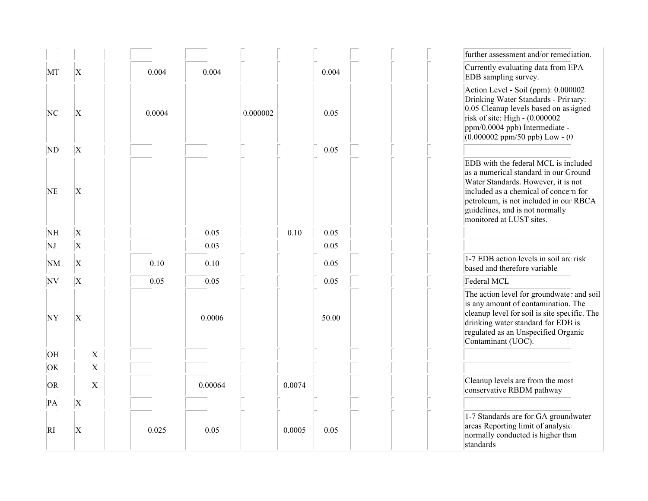|           |                           |              |        |         |          |        |       | further assessment and/or remediation.                                                                                                                                                                                                                                 |
|-----------|---------------------------|--------------|--------|---------|----------|--------|-------|------------------------------------------------------------------------------------------------------------------------------------------------------------------------------------------------------------------------------------------------------------------------|
| MT        | $\vert$ X                 |              | 0.004  | 0.004   |          |        | 0.004 | Currently evaluating data from EPA<br>EDB sampling survey.                                                                                                                                                                                                             |
| NC        | X                         |              | 0.0004 |         | 0.000002 |        | 0.05  | Action Level - Soil (ppm): 0.000002<br>Drinking Water Standards - Primary:<br>0.05 Cleanup levels based on assigned<br>risk of site: High - $(0.000002)$<br>ppm/0.0004 ppb) Intermediate -<br>$(0.000002$ ppm/50 ppb) Low - $(0)$                                      |
| ND        | $\vert$ X                 |              |        |         |          |        | 0.05  |                                                                                                                                                                                                                                                                        |
| <b>NE</b> | $\mathbf X$               |              |        |         |          |        |       | EDB with the federal MCL is included<br>as a numerical standard in our Ground<br>Water Standards. However, it is not<br>included as a chemical of concern for<br>petroleum, is not included in our RBCA<br>guidelines, and is not normally<br>monitored at LUST sites. |
| NH        | $\vert$ X                 |              |        | 0.05    |          | 0.10   | 0.05  |                                                                                                                                                                                                                                                                        |
| NJ        | $\vert$ X                 |              |        | 0.03    |          |        | 0.05  |                                                                                                                                                                                                                                                                        |
| NM        | $\vert$ X                 |              | 0.10   | 0.10    |          |        | 0.05  | 1-7 EDB action levels in soil are risk<br>based and therefore variable                                                                                                                                                                                                 |
| NV        | $\boldsymbol{\mathrm{X}}$ |              | 0.05   | 0.05    |          |        | 0.05  | Federal MCL                                                                                                                                                                                                                                                            |
| NY        | X                         |              |        | 0.0006  |          |        | 50.00 | The action level for groundwater and soil<br>is any amount of contamination. The<br>cleanup level for soil is site specific. The<br>drinking water standard for EDB is<br>regulated as an Unspecified Organic<br>Contaminant (UOC).                                    |
| OH        |                           | $\vert$ X    |        |         |          |        |       |                                                                                                                                                                                                                                                                        |
| OK.       |                           | $\vert$ X    |        |         |          |        |       |                                                                                                                                                                                                                                                                        |
| OR.       |                           | $\mathbf{x}$ |        | 0.00064 |          | 0.0074 |       | Cleanup levels are from the most<br>conservative RBDM pathway                                                                                                                                                                                                          |
| PA        | $\vert$ X                 |              |        |         |          |        |       |                                                                                                                                                                                                                                                                        |
| RI        | X                         |              | 0.025  | 0.05    |          | 0.0005 | 0.05  | 1-7 Standards are for GA groundwater<br>areas Reporting limit of analysic<br>normally conducted is higher than<br>standards                                                                                                                                            |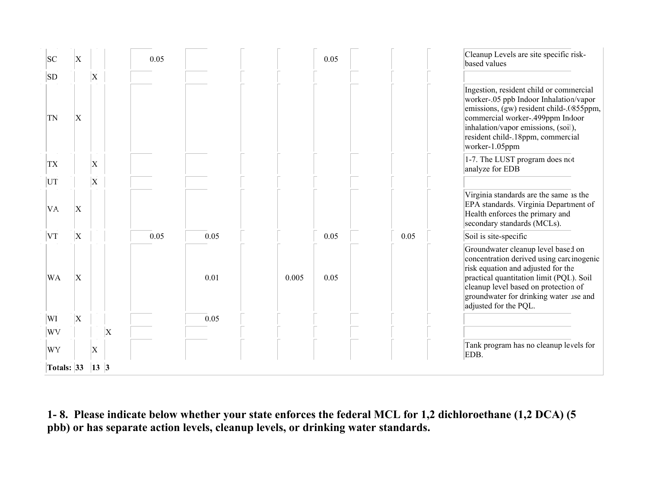| SC  |            | X  |                |                    | 0.05 |      |       | 0.05 |      | Cleanup Levels are site specific risk-<br>based values                                                                                                                                                                                                                      |
|-----|------------|----|----------------|--------------------|------|------|-------|------|------|-----------------------------------------------------------------------------------------------------------------------------------------------------------------------------------------------------------------------------------------------------------------------------|
| SD  |            |    | $\mathbf{X}$   |                    |      |      |       |      |      |                                                                                                                                                                                                                                                                             |
| TN  |            | X  |                |                    |      |      |       |      |      | Ingestion, resident child or commercial<br>worker-.05 ppb Indoor Inhalation/vapor<br>emissions, (gw) resident child-.0855ppm,<br>commercial worker-.499ppm Indoor<br>inhalation/vapor emissions, (soil),<br>resident child-.18ppm, commercial<br>worker-1.05ppm             |
| TX. |            |    | Χ              |                    |      |      |       |      |      | 1-7. The LUST program does not<br>analyze for EDB                                                                                                                                                                                                                           |
| UT  |            |    | $\overline{X}$ |                    |      |      |       |      |      |                                                                                                                                                                                                                                                                             |
| VA. |            | X  |                |                    |      |      |       |      |      | Virginia standards are the same as the<br>EPA standards. Virginia Department of<br>Health enforces the primary and<br>secondary standards (MCLs).                                                                                                                           |
| VT  |            | ΙX |                |                    | 0.05 | 0.05 |       | 0.05 | 0.05 | Soil is site-specific                                                                                                                                                                                                                                                       |
|     | <b>WA</b>  | X  |                |                    |      | 0.01 | 0.005 | 0.05 |      | Groundwater cleanup level based on<br>concentration derived using carcinogenic<br>risk equation and adjusted for the<br>practical quantitation limit (PQL). Soil<br>cleanup level based on protection of<br>groundwater for drinking water use and<br>adjusted for the PQL. |
| WI  |            | Х  |                |                    |      | 0.05 |       |      |      |                                                                                                                                                                                                                                                                             |
|     | WV         |    |                | $\vert \mathrm{X}$ |      |      |       |      |      |                                                                                                                                                                                                                                                                             |
|     | WY         |    | Χ              |                    |      |      |       |      |      | Tank program has no cleanup levels for<br>EDB.                                                                                                                                                                                                                              |
|     | Totals: 33 |    | $\vert$ 13 3   |                    |      |      |       |      |      |                                                                                                                                                                                                                                                                             |

1- 8. Please indicate below whether your state enforces the federal MCL for 1,2 dichloroethane (1,2 DCA) (5 pbb) or has separate action levels, cleanup levels, or drinking water standards.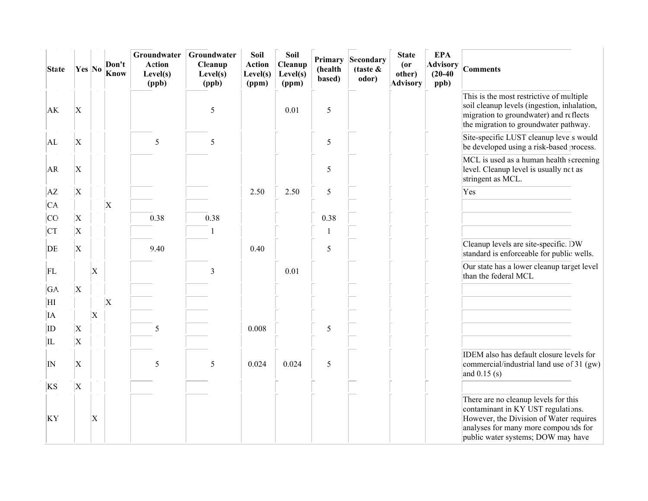| <b>State</b>   | Yes No                    |                           | Don't<br><b>Know</b> | Groundwater<br><b>Action</b><br>Level(s)<br>(ppb) | Groundwater<br>Cleanup<br>Level(s)<br>(ppb) | Soil<br><b>Action</b><br>Level(s)<br>(ppm) | Soil<br>Cleanup<br>Level(s)<br>(ppm) | Primary<br>(health<br>based) | Secondary<br>(taste $\&$<br>odor) | <b>State</b><br>$($ or<br>other)<br><b>Advisory</b> | <b>EPA</b><br><b>Advisory</b><br>$(20-40)$<br>ppb) | <b>Comments</b>                                                                                                                                                                                     |
|----------------|---------------------------|---------------------------|----------------------|---------------------------------------------------|---------------------------------------------|--------------------------------------------|--------------------------------------|------------------------------|-----------------------------------|-----------------------------------------------------|----------------------------------------------------|-----------------------------------------------------------------------------------------------------------------------------------------------------------------------------------------------------|
| AK.            | X                         |                           |                      |                                                   | 5                                           |                                            | 0.01                                 | 5                            |                                   |                                                     |                                                    | This is the most restrictive of multiple<br>soil cleanup levels (ingestion, inhalation,<br>migration to groundwater) and reflects<br>the migration to groundwater pathway.                          |
| AL             | $\boldsymbol{\mathrm{X}}$ |                           |                      | 5                                                 | 5                                           |                                            |                                      | 5                            |                                   |                                                     |                                                    | Site-specific LUST cleanup levels would<br>be developed using a risk-based process.                                                                                                                 |
| AR             | $\boldsymbol{\mathrm{X}}$ |                           |                      |                                                   |                                             |                                            |                                      | 5                            |                                   |                                                     |                                                    | MCL is used as a human health screening<br>level. Cleanup level is usually not as<br>stringent as MCL.                                                                                              |
| AZ             | X                         |                           |                      |                                                   |                                             | 2.50                                       | 2.50                                 | 5                            |                                   |                                                     |                                                    | Yes                                                                                                                                                                                                 |
| CA.            |                           |                           | $\vert$ X            |                                                   |                                             |                                            |                                      |                              |                                   |                                                     |                                                    |                                                                                                                                                                                                     |
| <b>CO</b>      | $\vert$ X                 |                           |                      | 0.38                                              | 0.38                                        |                                            |                                      | 0.38                         |                                   |                                                     |                                                    |                                                                                                                                                                                                     |
| CT             | $\boldsymbol{\mathrm{X}}$ |                           |                      |                                                   |                                             |                                            |                                      | 1                            |                                   |                                                     |                                                    |                                                                                                                                                                                                     |
| DE             | $\boldsymbol{\mathrm{X}}$ |                           |                      | 9.40                                              |                                             | 0.40                                       |                                      | 5                            |                                   |                                                     |                                                    | Cleanup levels are site-specific. DW<br>standard is enforceable for public wells.                                                                                                                   |
| FL             |                           | $\boldsymbol{\mathrm{X}}$ |                      |                                                   | 3                                           |                                            | 0.01                                 |                              |                                   |                                                     |                                                    | Our state has a lower cleanup target level<br>than the federal MCL                                                                                                                                  |
| GA.            | $\boldsymbol{\mathrm{X}}$ |                           |                      |                                                   |                                             |                                            |                                      |                              |                                   |                                                     |                                                    |                                                                                                                                                                                                     |
| ΗI             |                           |                           | $\vert$ X            |                                                   |                                             |                                            |                                      |                              |                                   |                                                     |                                                    |                                                                                                                                                                                                     |
| ĪА             |                           | $\boldsymbol{\mathrm{X}}$ |                      |                                                   |                                             |                                            |                                      |                              |                                   |                                                     |                                                    |                                                                                                                                                                                                     |
| ID             | X                         |                           |                      | 5                                                 |                                             | 0.008                                      |                                      | 5                            |                                   |                                                     |                                                    |                                                                                                                                                                                                     |
| IL             | X                         |                           |                      |                                                   |                                             |                                            |                                      |                              |                                   |                                                     |                                                    |                                                                                                                                                                                                     |
| IN             | X                         |                           |                      | 5                                                 | 5                                           | 0.024                                      | 0.024                                | 5                            |                                   |                                                     |                                                    | IDEM also has default closure levels for<br>commercial/industrial land use of 31 (gw)<br>and $0.15$ (s)                                                                                             |
| KS             | $\overline{\mathrm{X}}$   |                           |                      |                                                   |                                             |                                            |                                      |                              |                                   |                                                     |                                                    |                                                                                                                                                                                                     |
| KY <sup></sup> |                           | X                         |                      |                                                   |                                             |                                            |                                      |                              |                                   |                                                     |                                                    | There are no cleanup levels for this<br>contaminant in KY UST regulations.<br>However, the Division of Water requires<br>analyses for many more compounds for<br>public water systems; DOW may have |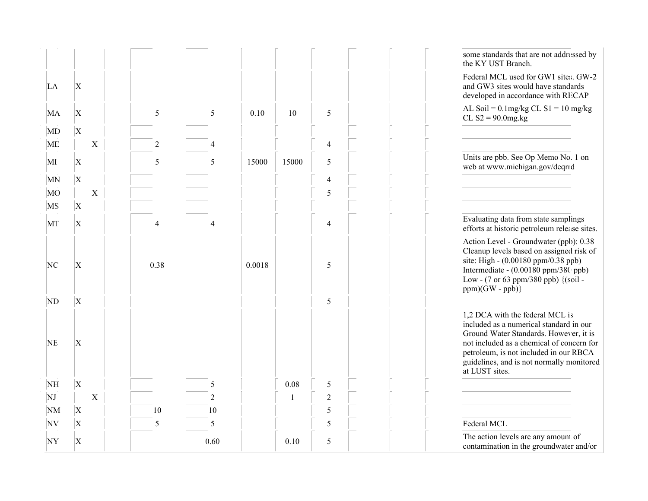|                 |                         |                       |                |                |        |              |                | some standards that are not addressed by<br>the KY UST Branch.                                                                                                                                                                                                             |
|-----------------|-------------------------|-----------------------|----------------|----------------|--------|--------------|----------------|----------------------------------------------------------------------------------------------------------------------------------------------------------------------------------------------------------------------------------------------------------------------------|
| LA              | $\overline{\mathrm{X}}$ |                       |                |                |        |              |                | Federal MCL used for GW1 sites. GW-2<br>and GW3 sites would have standards<br>developed in accordance with RECAP                                                                                                                                                           |
| MA              | $\vert$ X               |                       | 5              | 5              | 0.10   | 10           | 5              | $AL$ Soil = 0.1mg/kg CL S1 = 10 mg/kg<br>CL $S2 = 90.0$ mg.kg                                                                                                                                                                                                              |
| MI)             | $\vert$ X               |                       |                |                |        |              |                |                                                                                                                                                                                                                                                                            |
| ME              |                         | $\overline{X}$        | $\mathbf{2}$   | 4              |        |              | $\overline{4}$ |                                                                                                                                                                                                                                                                            |
| MI              | $\vert$ X               |                       | 5              | 5              | 15000  | 15000        | 5              | Units are pbb. See Op Memo No. 1 on<br>web at www.michigan.gov/deqrrd                                                                                                                                                                                                      |
| MN              | $\overline{\mathrm{X}}$ |                       |                |                |        |              | $\overline{4}$ |                                                                                                                                                                                                                                                                            |
| MO              |                         | $\overline{X}$        |                |                |        |              | 5              |                                                                                                                                                                                                                                                                            |
| MS              | $\overline{\mathrm{X}}$ |                       |                |                |        |              |                |                                                                                                                                                                                                                                                                            |
| MT              | $\vert$ X               |                       | $\overline{4}$ | $\overline{4}$ |        |              | $\overline{4}$ | Evaluating data from state samplings<br>efforts at historic petroleum release sites.                                                                                                                                                                                       |
| NC              | $\overline{\mathrm{X}}$ |                       | 0.38           |                | 0.0018 |              | 5              | Action Level - Groundwater (ppb): 0.38<br>Cleanup levels based on assigned risk of<br>site: High - (0.00180 ppm/0.38 ppb)<br>Intermediate - (0.00180 ppm/380 ppb)<br>Low - (7 or 63 ppm/380 ppb) $\{(\text{soil} -$<br>$ppm)(GW - ppb)$                                    |
| ND              | $\vert$ X               |                       |                |                |        |              | $\sqrt{5}$     |                                                                                                                                                                                                                                                                            |
| <b>NE</b>       | $\vert$ X               |                       |                |                |        |              |                | 1,2 DCA with the federal MCL is<br>included as a numerical standard in our<br>Ground Water Standards. However, it is<br>not included as a chemical of concern for<br>petroleum, is not included in our RBCA<br>guidelines, and is not normally monitored<br>at LUST sites. |
| NH              | $\vert$ X               |                       |                | 5              |        | 0.08         | $\sqrt{5}$     |                                                                                                                                                                                                                                                                            |
| NJ              |                         | $\overline{\text{X}}$ |                | $\overline{2}$ |        | $\mathbf{1}$ | $\sqrt{2}$     |                                                                                                                                                                                                                                                                            |
| <b>NM</b>       | $\vert$ X               |                       | 10             | 10             |        |              | 5              |                                                                                                                                                                                                                                                                            |
| <b>NV</b>       | $\overline{\mathrm{X}}$ |                       | 5              | 5              |        |              | 5              | Federal MCL                                                                                                                                                                                                                                                                |
| NY <sup>'</sup> | $\vert$ X               |                       |                | 0.60           |        | 0.10         | $\sqrt{5}$     | The action levels are any amount of<br>contamination in the groundwater and/or                                                                                                                                                                                             |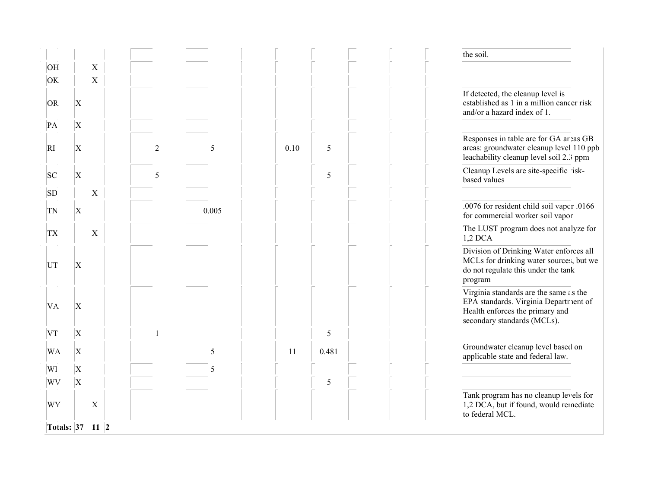|                     |                                |           |                |       |      |       | the soil.                                                                                                                                         |
|---------------------|--------------------------------|-----------|----------------|-------|------|-------|---------------------------------------------------------------------------------------------------------------------------------------------------|
| OH                  |                                | X         |                |       |      |       |                                                                                                                                                   |
| OK.<br>OR.<br>PA    | $\boldsymbol{\mathrm{X}}$<br>X | $\vert$ X |                |       |      |       | If detected, the cleanup level is<br>established as 1 in a million cancer risk<br>and/or a hazard index of 1.                                     |
| RI                  | $\boldsymbol{\mathrm{X}}$      |           | $\overline{2}$ | 5     | 0.10 | 5     | Responses in table are for GA areas GB<br>areas: groundwater cleanup level 110 ppb<br>leachability cleanup level soil 2.3 ppm                     |
| SC                  | $\vert$ X                      |           | 5              |       |      | 5     | Cleanup Levels are site-specific risk-<br>based values                                                                                            |
| SD                  |                                | $\vert$ X |                |       |      |       |                                                                                                                                                   |
| TN                  | $\boldsymbol{\mathrm{X}}$      |           |                | 0.005 |      |       | .0076 for resident child soil vapor .0166<br>for commercial worker soil vapor                                                                     |
| <b>TX</b>           |                                | $\vert$ X |                |       |      |       | The LUST program does not analyze for<br>$1,2$ DCA                                                                                                |
| UT                  | X                              |           |                |       |      |       | Division of Drinking Water enforces all<br>MCLs for drinking water sources, but we<br>do not regulate this under the tank<br>program              |
| VA.                 | $\boldsymbol{\mathrm{X}}$      |           |                |       |      |       | Virginia standards are the same as the<br>EPA standards. Virginia Department of<br>Health enforces the primary and<br>secondary standards (MCLs). |
| VT                  | $\boldsymbol{\mathrm{X}}$      |           |                |       |      | 5     |                                                                                                                                                   |
| <b>WA</b>           | $\vert$ X                      |           |                | 5     | 11   | 0.481 | Groundwater cleanup level based on<br>applicable state and federal law.                                                                           |
| WI                  | X                              |           |                | 5     |      |       |                                                                                                                                                   |
| WV                  | X                              |           |                |       |      | 5     |                                                                                                                                                   |
| WY                  |                                | $\vert$ X |                |       |      |       | Tank program has no cleanup levels for<br>1,2 DCA, but if found, would remediate<br>to federal MCL.                                               |
| Totals: 37   11   2 |                                |           |                |       |      |       |                                                                                                                                                   |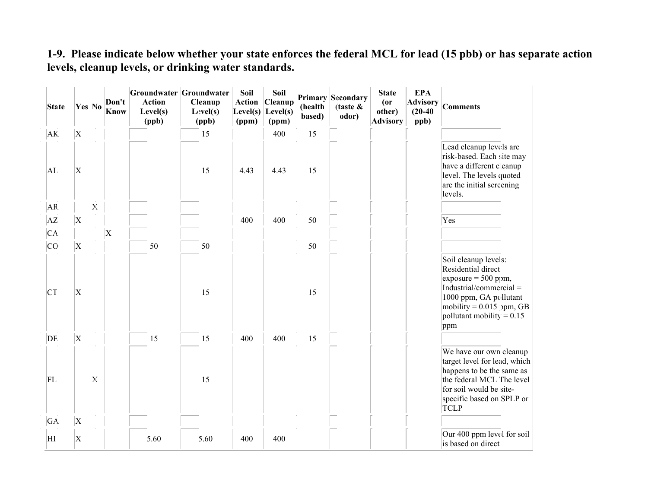#### 1-9. Please indicate below whether your state enforces the federal MCL for lead (15 pbb) or has separate action levels, cleanup levels, or drinking water standards.

| <b>State</b> | Yes No                    |              | Don't<br><b>Know</b> | <b>Action</b><br>Level(s)<br>(ppb) | Groundwater Groundwater<br>Cleanup<br>Level(s)<br>(ppb) | Soil<br>Action<br>Level(s)<br>(ppm) | Soil<br><b>Cleanup</b><br>Level(s)<br>(ppm) | (health<br>based) | <b>Primary Secondary</b><br>$\int$ (taste $\&$<br>odor) | <b>State</b><br>(0r)<br>other)<br><b>Advisory</b> | <b>EPA</b><br><b>Advisory</b><br>$(20-40)$<br>ppb) | <b>Comments</b>                                                                                                                                                                              |
|--------------|---------------------------|--------------|----------------------|------------------------------------|---------------------------------------------------------|-------------------------------------|---------------------------------------------|-------------------|---------------------------------------------------------|---------------------------------------------------|----------------------------------------------------|----------------------------------------------------------------------------------------------------------------------------------------------------------------------------------------------|
| AK.          | $\overline{\mathrm{X}}$   |              |                      |                                    | 15                                                      |                                     | 400                                         | 15                |                                                         |                                                   |                                                    |                                                                                                                                                                                              |
| AL.          | $\boldsymbol{\mathrm{X}}$ |              |                      |                                    | 15                                                      | 4.43                                | 4.43                                        | 15                |                                                         |                                                   |                                                    | Lead cleanup levels are<br>risk-based. Each site may<br>have a different cleanup<br>level. The levels quoted<br>are the initial screening<br>levels.                                         |
| AR.          |                           | $\mathbf{X}$ |                      |                                    |                                                         |                                     |                                             |                   |                                                         |                                                   |                                                    |                                                                                                                                                                                              |
| AZ           | $\overline{\mathrm{X}}$   |              |                      |                                    |                                                         | 400                                 | 400                                         | 50                |                                                         |                                                   |                                                    | Yes                                                                                                                                                                                          |
| CA.          |                           |              | $\vert$ X            |                                    |                                                         |                                     |                                             |                   |                                                         |                                                   |                                                    |                                                                                                                                                                                              |
| <b>CO</b>    | $\rm\overline{X}$         |              |                      | 50                                 | 50                                                      |                                     |                                             | 50                |                                                         |                                                   |                                                    |                                                                                                                                                                                              |
| <b>CT</b>    | $\boldsymbol{\mathrm{X}}$ |              |                      |                                    | 15                                                      |                                     |                                             | 15                |                                                         |                                                   |                                                    | Soil cleanup levels:<br>Residential direct<br>$exposure = 500 ppm,$<br>Industrial/commercial =<br>1000 ppm, GA pollutant<br>mobility = $0.015$ ppm, GB<br>pollutant mobility = $0.15$<br>ppm |
| DE           | $\boldsymbol{\mathrm{X}}$ |              |                      | 15                                 | 15                                                      | 400                                 | 400                                         | 15                |                                                         |                                                   |                                                    |                                                                                                                                                                                              |
| FL           |                           | $\mathbf{X}$ |                      |                                    | 15                                                      |                                     |                                             |                   |                                                         |                                                   |                                                    | We have our own cleanup<br>target level for lead, which<br>happens to be the same as<br>the federal MCL The level<br>for soil would be site-<br>specific based on SPLP or<br><b>TCLP</b>     |
| GA.          | $\overline{\mathrm{X}}$   |              |                      |                                    |                                                         |                                     |                                             |                   |                                                         |                                                   |                                                    |                                                                                                                                                                                              |
| ΗI           | $\boldsymbol{\mathrm{X}}$ |              |                      | 5.60                               | 5.60                                                    | 400                                 | 400                                         |                   |                                                         |                                                   |                                                    | Our 400 ppm level for soil<br>is based on direct                                                                                                                                             |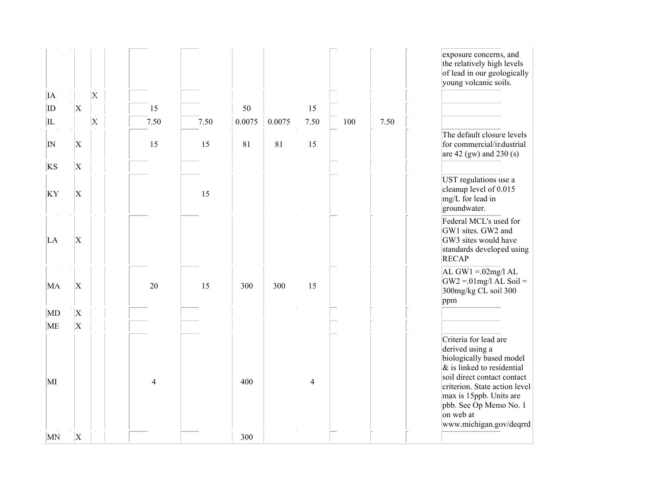|                        |                                      |                |                |      |        |        |                |     |      | exposure concerns, and<br>the relatively high levels<br>of lead in our geologically<br>young volcanic soils.                                                                                                                                                       |
|------------------------|--------------------------------------|----------------|----------------|------|--------|--------|----------------|-----|------|--------------------------------------------------------------------------------------------------------------------------------------------------------------------------------------------------------------------------------------------------------------------|
| IA<br>ID               | $\vert$ X                            | $\mathbf{x}$   | 15             |      | 50     |        | 15             |     |      |                                                                                                                                                                                                                                                                    |
| IL                     |                                      | $ \mathbf{x} $ | 7.50           | 7.50 | 0.0075 | 0.0075 | 7.50           | 100 | 7.50 |                                                                                                                                                                                                                                                                    |
| $\overline{\text{IN}}$ | $\vert$ X                            |                | 15             | 15   | 81     | 81     | 15             |     |      | The default closure levels<br>for commercial/industrial<br>are 42 (gw) and 230 (s)                                                                                                                                                                                 |
| KS<br>KY               | $\overline{\mathrm{X}}$<br>$\vert$ X |                |                | 15   |        |        |                |     |      | UST regulations use a<br>cleanup level of 0.015<br>mg/L for lead in<br>groundwater.                                                                                                                                                                                |
| LA                     | $\rm X$                              |                |                |      |        |        |                |     |      | Federal MCL's used for<br>GW1 sites. GW2 and<br>GW3 sites would have<br>standards developed using<br><b>RECAP</b>                                                                                                                                                  |
| MA                     | $\vert$ X                            |                | 20             | 15   | 300    | 300    | 15             |     |      | AL GW1 = $.02$ mg/l AL<br>$\text{GW2} = 01 \text{mg/l} \text{AL}$ Soil =<br>300mg/kg CL soil 300<br>ppm                                                                                                                                                            |
| MD                     | $\vert$ X                            |                |                |      |        |        |                |     |      |                                                                                                                                                                                                                                                                    |
| ME<br>МI               | $\overline{X}$                       |                | $\overline{4}$ |      | 400    |        | $\overline{4}$ |     |      | Criteria for lead are<br>derived using a<br>biologically based model<br>$\&$ is linked to residential<br>soil direct contact contact<br>criterion. State action level<br>max is 15ppb. Units are<br>pbb. See Op Memo No. 1<br>on web at<br>www.michigan.gov/deqrrd |
| MN                     | $\vert \mathrm{X} \vert$             |                |                |      | 300    |        |                |     |      |                                                                                                                                                                                                                                                                    |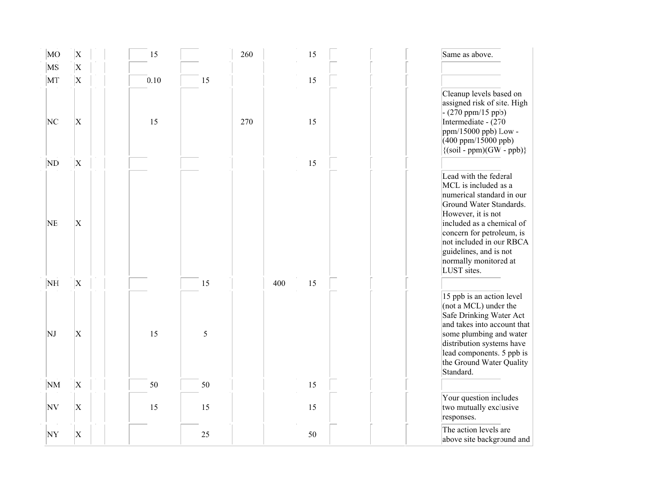| MO        | $\mathbf x$               | 15   |    | 260 | 15        | Same as above.                                                                                                                                                                                                                                                                      |
|-----------|---------------------------|------|----|-----|-----------|-------------------------------------------------------------------------------------------------------------------------------------------------------------------------------------------------------------------------------------------------------------------------------------|
| MS        | $\vert$ X                 |      |    |     |           |                                                                                                                                                                                                                                                                                     |
| MT        | $\vert$ X                 | 0.10 | 15 |     | 15        |                                                                                                                                                                                                                                                                                     |
| NC        | $\boldsymbol{\mathrm{X}}$ | 15   |    | 270 | 15        | Cleanup levels based on<br>assigned risk of site. High<br>$- (270 ppm/15 ppb)$<br>Intermediate - (270<br>$ppm/15000$ ppb) Low -<br>$(400$ ppm/15000 ppb)<br>$\{(soil - ppm)(GW - ppb)\}\$                                                                                           |
| ND        | $\boldsymbol{\mathrm{X}}$ |      |    |     | 15        |                                                                                                                                                                                                                                                                                     |
| <b>NE</b> | $\mathbf X$               |      |    |     |           | Lead with the federal<br>MCL is included as a<br>numerical standard in our<br>Ground Water Standards.<br>However, it is not<br>included as a chemical of<br>concern for petroleum, is<br>not included in our RBCA<br>guidelines, and is not<br>normally monitored at<br>LUST sites. |
| NH        | $\boldsymbol{\mathrm{X}}$ |      | 15 |     | 15<br>400 |                                                                                                                                                                                                                                                                                     |
| NJ        | $\mathbf X$               | 15   | 5  |     |           | 15 ppb is an action level<br>(not a MCL) under the<br>Safe Drinking Water Act<br>and takes into account that<br>some plumbing and water<br>distribution systems have<br>lead components. 5 ppb is<br>the Ground Water Quality<br>Standard.                                          |
| <b>NM</b> | $\vert$ X                 | 50   | 50 |     | 15        |                                                                                                                                                                                                                                                                                     |
| NV        | $\vert$ X                 | 15   | 15 |     | 15        | Your question includes<br>two mutually exclusive<br>responses.                                                                                                                                                                                                                      |
| NY        | $\vert$ X                 |      | 25 |     | 50        | The action levels are<br>above site background and                                                                                                                                                                                                                                  |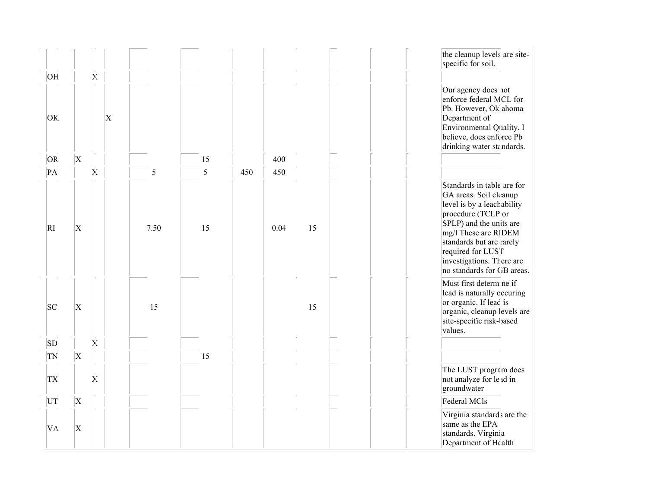| OH        |                           | $\mathbf{x}$ |                           |      |    |     |      |    | the cleanup levels are site-<br>specific for soil.                                                                                                                                                                                                                      |
|-----------|---------------------------|--------------|---------------------------|------|----|-----|------|----|-------------------------------------------------------------------------------------------------------------------------------------------------------------------------------------------------------------------------------------------------------------------------|
| OK.       |                           |              | $\boldsymbol{\mathrm{X}}$ |      |    |     |      |    | Our agency does not<br>enforce federal MCL for<br>Pb. However, Oklahoma<br>Department of<br>Environmental Quality, I<br>believe, does enforce Pb<br>drinking water standards.                                                                                           |
| OR.       | $\mathbf X$               |              |                           |      | 15 |     | 400  |    |                                                                                                                                                                                                                                                                         |
| PA        |                           | $\mathbf{x}$ |                           | 5    | 5  | 450 | 450  |    |                                                                                                                                                                                                                                                                         |
| RI        | $\boldsymbol{\mathrm{X}}$ |              |                           | 7.50 | 15 |     | 0.04 | 15 | Standards in table are for<br>GA areas. Soil cleanup<br>level is by a leachability<br>procedure (TCLP or<br>SPLP) and the units are<br>mg/l These are RIDEM<br>standards but are rarely<br>required for LUST<br>investigations. There are<br>no standards for GB areas. |
| SC        | $\vert \mathrm{X} \vert$  |              |                           | 15   |    |     |      | 15 | Must first determine if<br>lead is naturally occuring<br>or organic. If lead is<br>organic, cleanup levels are<br>site-specific risk-based<br>values.                                                                                                                   |
| SD        |                           | $\mathbf{x}$ |                           |      |    |     |      |    |                                                                                                                                                                                                                                                                         |
| TN        | $\vert$ X                 |              |                           |      | 15 |     |      |    |                                                                                                                                                                                                                                                                         |
| <b>TX</b> |                           | $\mathbf{X}$ |                           |      |    |     |      |    | The LUST program does<br>not analyze for lead in<br>groundwater                                                                                                                                                                                                         |
| UT        | $\boldsymbol{\mathrm{X}}$ |              |                           |      |    |     |      |    | Federal MCls                                                                                                                                                                                                                                                            |
| VA.       | $\vert \mathrm{X} \vert$  |              |                           |      |    |     |      |    | Virginia standards are the<br>same as the EPA<br>standards. Virginia<br>Department of Health                                                                                                                                                                            |

enforces the primary and primary and primary and